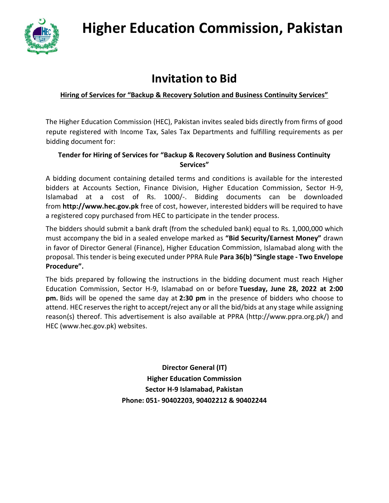

# **Higher Education Commission, Pakistan**

# **Invitation to Bid**

#### **Hiring of Services for "Backup & Recovery Solution and Business Continuity Services"**

The Higher Education Commission (HEC), Pakistan invites sealed bids directly from firms of good repute registered with Income Tax, Sales Tax Departments and fulfilling requirements as per bidding document for:

#### **Tender for Hiring of Services for "Backup & Recovery Solution and Business Continuity Services"**

A bidding document containing detailed terms and conditions is available for the interested bidders at Accounts Section, Finance Division, Higher Education Commission, Sector H-9, Islamabad at a cost of Rs. 1000/-. Bidding documents can be downloaded from **[http://www.hec.gov.pk](http://www.hec.gov.pk/)** free of cost, however, interested bidders will be required to have a registered copy purchased from HEC to participate in the tender process.

The bidders should submit a bank draft (from the scheduled bank) equal to Rs. 1,000,000 which must accompany the bid in a sealed envelope marked as **"Bid Security/Earnest Money"** drawn in favor of Director General (Finance), Higher Education Commission, Islamabad along with the proposal. This tender is being executed under PPRA Rule **Para 36(b) "Single stage - Two Envelope Procedure".**

The bids prepared by following the instructions in the bidding document must reach Higher Education Commission, Sector H-9, Islamabad on or before **Tuesday, June 28, 2022 at 2:00 pm.** Bids will be opened the same day at **2:30 pm** in the presence of bidders who choose to attend. HEC reserves the right to accept/reject any or all the bid/bids at any stage while assigning reason(s) thereof. This advertisement is also available at PPRA [\(http://www.ppra.org.pk/\)](http://www.ppra.org.pk/) and HEC (www.hec.gov.pk) websites.

> **Director General (IT) Higher Education Commission Sector H-9 Islamabad, Pakistan Phone: 051- 90402203, 90402212 & 90402244**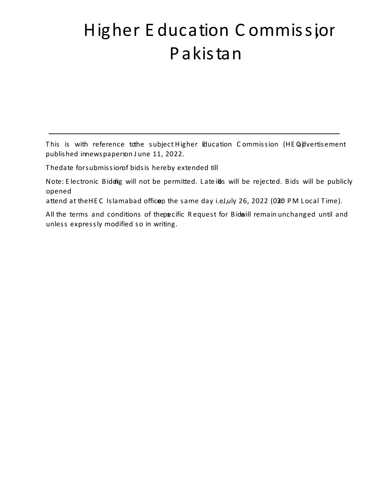# Higher Education Commission , Pakistan

# Extension in Date for Submission of Bids

# Backup & Recovery Solution and Business Continuity Services

This is with reference to the subject Higher E ducation Commission (HEC) advertisement published in newspapers on June 11, 2022. The date for submission of bids is hereby extended till July 26, 2022 (02:00 pm). Note: Electronic Biddi ng will not be permitted. Late b ids will be rejected. Bids will be publicly opened ]v šZ ‰Œ • v }( šZ ] Œ•[ •]Pv š  $\check{\mathsf{s}}$  CE ‰ CE • v š $\check{\mathsf{s}}$ ] $\check{\mathsf{A}}$  • attend at the HEC Islamabad office, on the same day i.e., July 26, 2022 (02: 30 PM Local Time). All the terms and conditions of the s pecific Request for Bids will remain unchanged until and unless expressly modified so in writing.

> Director Genera(IT) Higher Education Commission SectorH-9, Islamabad Phone: 90402212 & 90402244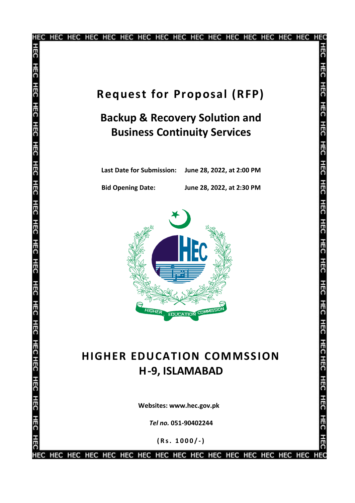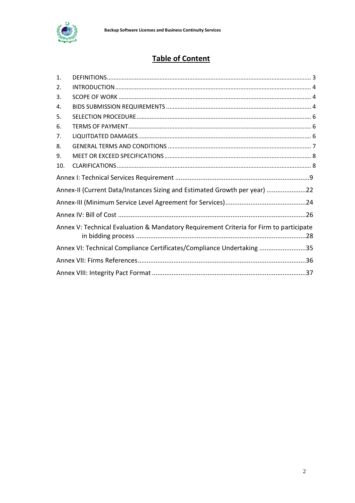

# **Table of Content**

<span id="page-3-0"></span>

| 1.  |                                                                                        |  |
|-----|----------------------------------------------------------------------------------------|--|
| 2.  |                                                                                        |  |
| 3.  |                                                                                        |  |
| 4.  |                                                                                        |  |
| 5.  |                                                                                        |  |
| 6.  |                                                                                        |  |
| 7.  |                                                                                        |  |
| 8.  |                                                                                        |  |
| 9.  |                                                                                        |  |
| 10. |                                                                                        |  |
|     |                                                                                        |  |
|     | Annex-II (Current Data/Instances Sizing and Estimated Growth per year) 22              |  |
|     |                                                                                        |  |
|     |                                                                                        |  |
|     | Annex V: Technical Evaluation & Mandatory Requirement Criteria for Firm to participate |  |
|     | Annex VI: Technical Compliance Certificates/Compliance Undertaking 35                  |  |
|     |                                                                                        |  |
|     |                                                                                        |  |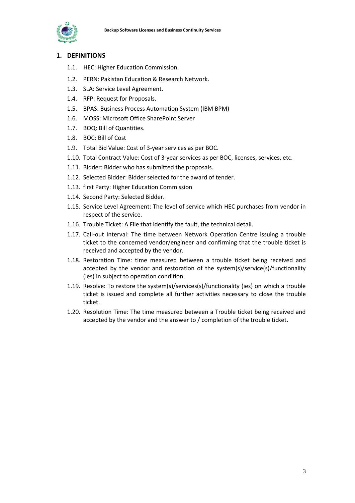

#### <span id="page-4-0"></span>**1. DEFINITIONS**

- 1.1. HEC: Higher Education Commission.
- 1.2. PERN: Pakistan Education & Research Network.
- 1.3. SLA: Service Level Agreement.
- 1.4. RFP: Request for Proposals.
- 1.5. BPAS: Business Process Automation System (IBM BPM)
- 1.6. MOSS: Microsoft Office SharePoint Server
- 1.7. BOQ: Bill of Quantities.
- 1.8. BOC: Bill of Cost
- 1.9. Total Bid Value: Cost of 3-year services as per BOC.
- 1.10. Total Contract Value: Cost of 3-year services as per BOC, licenses, services, etc.
- 1.11. Bidder: Bidder who has submitted the proposals.
- 1.12. Selected Bidder: Bidder selected for the award of tender.
- 1.13. first Party: Higher Education Commission
- 1.14. Second Party: Selected Bidder.
- <span id="page-4-1"></span>1.15. Service Level Agreement: The level of service which HEC purchases from vendor in respect of the service.
- 1.16. Trouble Ticket: A File that identify the fault, the technical detail.
- 1.17. Call-out Interval: The time between Network Operation Centre issuing a trouble ticket to the concerned vendor/engineer and confirming that the trouble ticket is received and accepted by the vendor.
- 1.18. Restoration Time: time measured between a trouble ticket being received and accepted by the vendor and restoration of the system(s)/service(s)/functionality (ies) in subject to operation condition.
- 1.19. Resolve: To restore the system(s)/services(s)/functionality (ies) on which a trouble ticket is issued and complete all further activities necessary to close the trouble ticket.
- <span id="page-4-2"></span>1.20. Resolution Time: The time measured between a Trouble ticket being received and accepted by the vendor and the answer to / completion of the trouble ticket.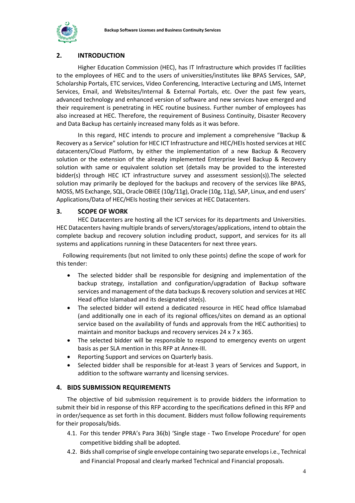

#### **2. INTRODUCTION**

Higher Education Commission (HEC), has IT Infrastructure which provides IT facilities to the employees of HEC and to the users of universities/institutes like BPAS Services, SAP, Scholarship Portals, ETC services, Video Conferencing, Interactive Lecturing and LMS, Internet Services, Email, and Websites/Internal & External Portals, etc. Over the past few years, advanced technology and enhanced version of software and new services have emerged and their requirement is penetrating in HEC routine business. Further number of employees has also increased at HEC. Therefore, the requirement of Business Continuity, Disaster Recovery and Data Backup has certainly increased many folds as it was before.

In this regard, HEC intends to procure and implement a comprehensive "Backup & Recovery as a Service" solution for HEC ICT Infrastructure and HEC/HEIs hosted services at HEC datacenters/Cloud Platform, by either the implementation of a new Backup & Recovery solution or the extension of the already implemented Enterprise level Backup & Recovery solution with same or equivalent solution set (details may be provided to the interested bidder(s) through HEC ICT infrastructure survey and assessment session(s)).The selected solution may primarily be deployed for the backups and recovery of the services like BPAS, MOSS, MS Exchange, SQL, Oracle OBIEE (10g/11g), Oracle (10g, 11g), SAP, Linux, and end users' Applications/Data of HEC/HEIs hosting their services at HEC Datacenters.

#### **3. SCOPE OF WORK**

HEC Datacenters are hosting all the ICT services for its departments and Universities. HEC Datacenters having multiple brands of servers/storages/applications, intend to obtain the complete backup and recovery solution including product, support, and services for its all systems and applications running in these Datacenters for next three years.

 Following requirements (but not limited to only these points) define the scope of work for this tender:

- The selected bidder shall be responsible for designing and implementation of the backup strategy, installation and configuration/upgradation of Backup software services and management of the data backups & recovery solution and services at HEC Head office Islamabad and its designated site(s).
- The selected bidder will extend a dedicated resource in HEC head office Islamabad (and additionally one in each of its regional offices/sites on demand as an optional service based on the availability of funds and approvals from the HEC authorities) to maintain and monitor backups and recovery services 24 x 7 x 365.
- The selected bidder will be responsible to respond to emergency events on urgent basis as per SLA mention in this RFP at Annex-III.
- Reporting Support and services on Quarterly basis.
- Selected bidder shall be responsible for at-least 3 years of Services and Support, in addition to the software warranty and licensing services.

#### **4. BIDS SUBMISSION REQUIREMENTS**

The objective of bid submission requirement is to provide bidders the information to submit their bid in response of this RFP according to the specifications defined in this RFP and in order/sequence as set forth in this document. Bidders must follow following requirements for their proposals/bids.

- 4.1. For this tender PPRA's Para 36(b) 'Single stage Two Envelope Procedure' for open competitive bidding shall be adopted.
- 4.2. Bids shall comprise of single envelope containing two separate envelops i.e., Technical and Financial Proposal and clearly marked Technical and Financial proposals.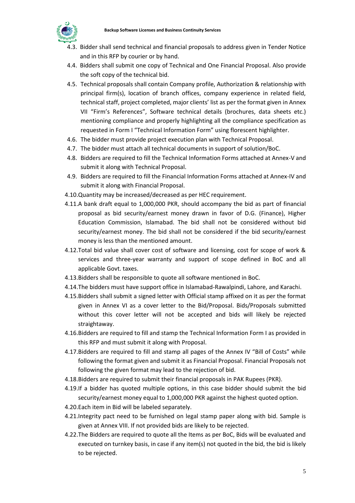

- <span id="page-6-0"></span>4.3. Bidder shall send technical and financial proposals to address given in Tender Notice and in this RFP by courier or by hand.
- 4.4. Bidders shall submit one copy of Technical and One Financial Proposal. Also provide the soft copy of the technical bid.
- 4.5. Technical proposals shall contain Company profile, Authorization & relationship with principal firm(s), location of branch offices, company experience in related field, technical staff, project completed, major clients' list as per the format given in Annex VII "Firm's References", Software technical details (brochures, data sheets etc.) mentioning compliance and properly highlighting all the compliance specification as requested in Form I "Technical Information Form" using florescent highlighter.
- 4.6. The bidder must provide project execution plan with Technical Proposal.
- 4.7. The bidder must attach all technical documents in support of solution/BoC.
- 4.8. Bidders are required to fill the Technical Information Forms attached at Annex-V and submit it along with Technical Proposal.
- 4.9. Bidders are required to fill the Financial Information Forms attached at Annex-IV and submit it along with Financial Proposal.
- 4.10.Quantity may be increased/decreased as per HEC requirement.
- 4.11.A bank draft equal to 1,000,000 PKR, should accompany the bid as part of financial proposal as bid security/earnest money drawn in favor of D.G. (Finance), Higher Education Commission, Islamabad. The bid shall not be considered without bid security/earnest money. The bid shall not be considered if the bid security/earnest money is less than the mentioned amount.
- <span id="page-6-1"></span>4.12.Total bid value shall cover cost of software and licensing, cost for scope of work & services and three-year warranty and support of scope defined in BoC and all applicable Govt. taxes.
- 4.13.Bidders shall be responsible to quote all software mentioned in BoC.
- 4.14.The bidders must have support office in Islamabad-Rawalpindi, Lahore, and Karachi.
- 4.15.Bidders shall submit a signed letter with Official stamp affixed on it as per the format given in Annex VI as a cover letter to the Bid/Proposal. Bids/Proposals submitted without this cover letter will not be accepted and bids will likely be rejected straightaway.
- 4.16.Bidders are required to fill and stamp the Technical Information Form I as provided in this RFP and must submit it along with Proposal.
- 4.17.Bidders are required to fill and stamp all pages of the Annex IV "Bill of Costs" while following the format given and submit it as Financial Proposal. Financial Proposals not following the given format may lead to the rejection of bid.
- 4.18.Bidders are required to submit their financial proposals in PAK Rupees (PKR).
- <span id="page-6-2"></span>4.19.If a bidder has quoted multiple options, in this case bidder should submit the bid security/earnest money equal to 1,000,000 PKR against the highest quoted option.
- 4.20.Each item in Bid will be labeled separately.
- 4.21.Integrity pact need to be furnished on legal stamp paper along with bid. Sample is given at Annex VIII. If not provided bids are likely to be rejected.
- 4.22.The Bidders are required to quote all the Items as per BoC, Bids will be evaluated and executed on turnkey basis, in case if any item(s) not quoted in the bid, the bid is likely to be rejected.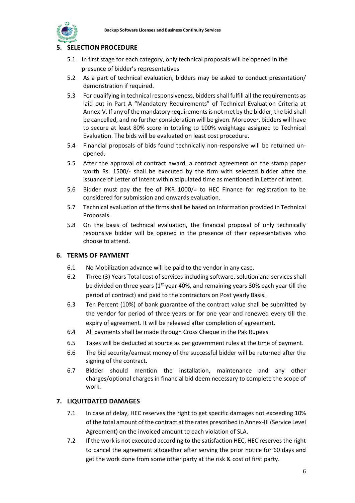

#### **5. SELECTION PROCEDURE**

- <span id="page-7-0"></span>5.1 In first stage for each category, only technical proposals will be opened in the presence of bidder's representatives
- 5.2 As a part of technical evaluation, bidders may be asked to conduct presentation/ demonstration if required.
- 5.3 For qualifying in technical responsiveness, bidders shall fulfill all the requirements as laid out in Part A "Mandatory Requirements" of Technical Evaluation Criteria at Annex-V. If any of the mandatory requirements is not met by the bidder, the bid shall be cancelled, and no further consideration will be given. Moreover, bidders will have to secure at least 80% score in totaling to 100% weightage assigned to Technical Evaluation. The bids will be evaluated on least cost procedure.
- 5.4 Financial proposals of bids found technically non-responsive will be returned unopened.
- 5.5 After the approval of contract award, a contract agreement on the stamp paper worth Rs. 1500/- shall be executed by the firm with selected bidder after the issuance of Letter of Intent within stipulated time as mentioned in Letter of Intent.
- 5.6 Bidder must pay the fee of PKR 1000/= to HEC Finance for registration to be considered for submission and onwards evaluation.
- 5.7 Technical evaluation of the firms shall be based on information provided in Technical Proposals.
- 5.8 On the basis of technical evaluation, the financial proposal of only technically responsive bidder will be opened in the presence of their representatives who choose to attend.

#### **6. TERMS OF PAYMENT**

- 6.1 No Mobilization advance will be paid to the vendor in any case.
- 6.2 Three (3) Years Total cost of services including software, solution and services shall be divided on three years ( $1<sup>st</sup>$  year 40%, and remaining years 30% each year till the period of contract) and paid to the contractors on Post yearly Basis.
- 6.3 Ten Percent (10%) of bank guarantee of the contract value shall be submitted by the vendor for period of three years or for one year and renewed every till the expiry of agreement. It will be released after completion of agreement.
- 6.4 All payments shall be made through Cross Cheque in the Pak Rupees.
- 6.5 Taxes will be deducted at source as per government rules at the time of payment.
- 6.6 The bid security/earnest money of the successful bidder will be returned after the signing of the contract.
- 6.7 Bidder should mention the installation, maintenance and any other charges/optional charges in financial bid deem necessary to complete the scope of work.

#### **7. LIQUITDATED DAMAGES**

- 7.1 In case of delay, HEC reserves the right to get specific damages not exceeding 10% of the total amount of the contract at the rates prescribed in Annex-III (Service Level Agreement) on the invoiced amount to each violation of SLA.
- 7.2 If the work is not executed according to the satisfaction HEC, HEC reserves the right to cancel the agreement altogether after serving the prior notice for 60 days and get the work done from some other party at the risk & cost of first party.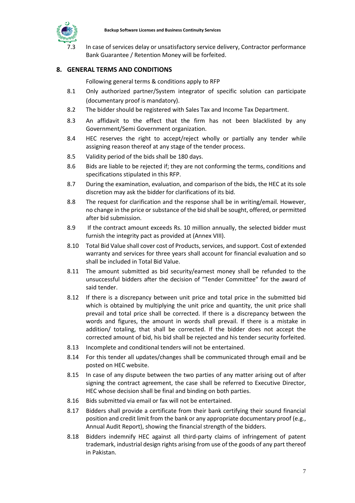

In case of services delay or unsatisfactory service delivery, Contractor performance Bank Guarantee / Retention Money will be forfeited.

#### <span id="page-8-0"></span>**8. GENERAL TERMS AND CONDITIONS**

Following general terms & conditions apply to RFP

- 8.1 Only authorized partner/System integrator of specific solution can participate (documentary proof is mandatory).
- 8.2 The bidder should be registered with Sales Tax and Income Tax Department.
- 8.3 An affidavit to the effect that the firm has not been blacklisted by any Government/Semi Government organization.
- <span id="page-8-1"></span>8.4 HEC reserves the right to accept/reject wholly or partially any tender while assigning reason thereof at any stage of the tender process.
- 8.5 Validity period of the bids shall be 180 days.
- 8.6 Bids are liable to be rejected if; they are not conforming the terms, conditions and specifications stipulated in this RFP.
- 8.7 During the examination, evaluation, and comparison of the bids, the HEC at its sole discretion may ask the bidder for clarifications of its bid.
- 8.8 The request for clarification and the response shall be in writing/email. However, no change in the price or substance of the bid shall be sought, offered, or permitted after bid submission.
- 8.9 If the contract amount exceeds Rs. 10 million annually, the selected bidder must furnish the integrity pact as provided at (Annex VIII).
- 8.10 Total Bid Value shall cover cost of Products, services, and support. Cost of extended warranty and services for three years shall account for financial evaluation and so shall be included in Total Bid Value.
- 8.11 The amount submitted as bid security/earnest money shall be refunded to the unsuccessful bidders after the decision of "Tender Committee" for the award of said tender.
- 8.12 If there is a discrepancy between unit price and total price in the submitted bid which is obtained by multiplying the unit price and quantity, the unit price shall prevail and total price shall be corrected. If there is a discrepancy between the words and figures, the amount in words shall prevail. If there is a mistake in addition/ totaling, that shall be corrected. If the bidder does not accept the corrected amount of bid, his bid shall be rejected and his tender security forfeited.
- 8.13 Incomplete and conditional tenders will not be entertained.
- 8.14 For this tender all updates/changes shall be communicated through email and be posted on HEC website.
- 8.15 In case of any dispute between the two parties of any matter arising out of after signing the contract agreement, the case shall be referred to Executive Director, HEC whose decision shall be final and binding on both parties.
- 8.16 Bids submitted via email or fax will not be entertained.
- 8.17 Bidders shall provide a certificate from their bank certifying their sound financial position and credit limit from the bank or any appropriate documentary proof (e.g., Annual Audit Report), showing the financial strength of the bidders.
- 8.18 Bidders indemnify HEC against all third-party claims of infringement of patent trademark, industrial design rights arising from use of the goods of any part thereof in Pakistan.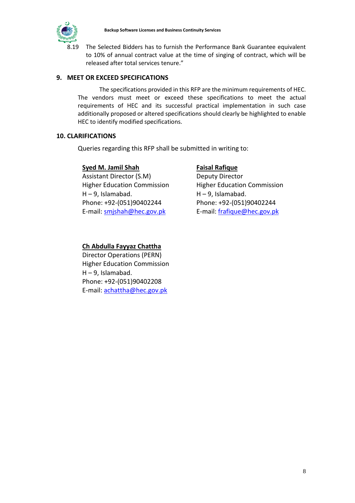

<span id="page-9-0"></span>The Selected Bidders has to furnish the Performance Bank Guarantee equivalent to 10% of annual contract value at the time of singing of contract, which will be released after total services tenure."

#### **9. MEET OR EXCEED SPECIFICATIONS**

The specifications provided in this RFP are the minimum requirements of HEC. The vendors must meet or exceed these specifications to meet the actual requirements of HEC and its successful practical implementation in such case additionally proposed or altered specifications should clearly be highlighted to enable HEC to identify modified specifications.

#### **10. CLARIFICATIONS**

Queries regarding this RFP shall be submitted in writing to:

#### **Syed M. Jamil Shah**

Assistant Director (S.M) Higher Education Commission H – 9, Islamabad. Phone: +92-(051)90402244 E-mail: [smjshah@hec.gov.pk](mailto:smjshah@hec.gov.pk)

#### **Faisal Rafique**

Deputy Director Higher Education Commission H – 9, Islamabad. Phone: +92-(051)90402244 E-mail: [frafique@hec.gov.pk](mailto:frafique@hec.gov.pk)

#### **Ch Abdulla Fayyaz Chattha**

Director Operations (PERN) Higher Education Commission H – 9, Islamabad. Phone: +92-(051)90402208 E-mail: [achattha@hec.gov.pk](mailto:achattha@hec.gov.pk)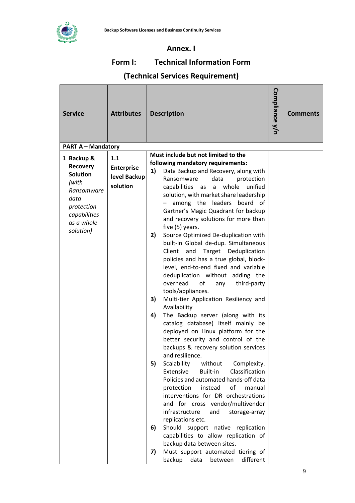

#### **Annex. I**

## **Form I: Technical Information Form**

## **(Technical Services Requirement)**

| <b>Service</b>                                                                                                                           | <b>Attributes</b>                                    |                            | <b>Description</b>                                                                                                                                                                                                                                                                                                                                                                                                                                                                                                                                                                                                                                                                                                                                                                                                                                                                                                                                                                                                                                                                                                                      | Compliance y/n | <b>Comments</b> |
|------------------------------------------------------------------------------------------------------------------------------------------|------------------------------------------------------|----------------------------|-----------------------------------------------------------------------------------------------------------------------------------------------------------------------------------------------------------------------------------------------------------------------------------------------------------------------------------------------------------------------------------------------------------------------------------------------------------------------------------------------------------------------------------------------------------------------------------------------------------------------------------------------------------------------------------------------------------------------------------------------------------------------------------------------------------------------------------------------------------------------------------------------------------------------------------------------------------------------------------------------------------------------------------------------------------------------------------------------------------------------------------------|----------------|-----------------|
| <b>PART A - Mandatory</b>                                                                                                                |                                                      |                            |                                                                                                                                                                                                                                                                                                                                                                                                                                                                                                                                                                                                                                                                                                                                                                                                                                                                                                                                                                                                                                                                                                                                         |                |                 |
| 1 Backup &<br><b>Recovery</b><br><b>Solution</b><br>(with<br>Ransomware<br>data<br>protection<br>capabilities<br>as a whole<br>solution) | 1.1<br><b>Enterprise</b><br>level Backup<br>solution | 1)<br>2)<br>3)<br>4)<br>5) | Must include but not limited to the<br>following mandatory requirements:<br>Data Backup and Recovery, along with<br>data<br>Ransomware<br>protection<br>whole<br>unified<br>capabilities as<br>a<br>solution, with market share leadership<br>among the leaders board of<br>Gartner's Magic Quadrant for backup<br>and recovery solutions for more than<br>five (5) years.<br>Source Optimized De-duplication with<br>built-in Global de-dup. Simultaneous<br>Client<br>Target Deduplication<br>and<br>policies and has a true global, block-<br>level, end-to-end fixed and variable<br>deduplication without adding the<br>overhead<br>of<br>third-party<br>any<br>tools/appliances.<br>Multi-tier Application Resiliency and<br>Availability<br>The Backup server (along with its<br>catalog database) itself mainly be<br>deployed on Linux platform for the<br>better security and control of the<br>backups & recovery solution services<br>and resilience.<br>Scalability<br>Complexity.<br>without<br>Classification<br>Extensive<br>Built-in<br>Policies and automated hands-off data<br>protection<br>instead<br>of<br>manual |                |                 |
|                                                                                                                                          | 6)                                                   |                            | interventions for DR orchestrations<br>and for cross vendor/multivendor<br>infrastructure<br>and<br>storage-array<br>replications etc.<br>Should support native replication<br>capabilities to allow replication of<br>backup data between sites.                                                                                                                                                                                                                                                                                                                                                                                                                                                                                                                                                                                                                                                                                                                                                                                                                                                                                       |                |                 |
|                                                                                                                                          |                                                      | 7)                         | Must support automated tiering of<br>backup<br>data<br>between<br>different                                                                                                                                                                                                                                                                                                                                                                                                                                                                                                                                                                                                                                                                                                                                                                                                                                                                                                                                                                                                                                                             |                |                 |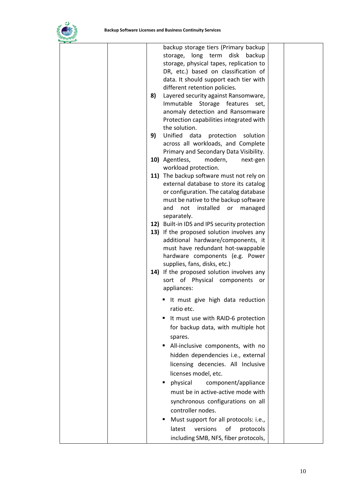

|    | backup storage tiers (Primary backup         |  |
|----|----------------------------------------------|--|
|    | storage, long term disk<br>backup            |  |
|    | storage, physical tapes, replication to      |  |
|    | DR, etc.) based on classification of         |  |
|    | data. It should support each tier with       |  |
|    | different retention policies.                |  |
| 8) | Layered security against Ransomware,         |  |
|    | Immutable Storage features<br>set,           |  |
|    | anomaly detection and Ransomware             |  |
|    | Protection capabilities integrated with      |  |
|    | the solution.                                |  |
| 9) | Unified data<br>protection<br>solution       |  |
|    | across all workloads, and Complete           |  |
|    | Primary and Secondary Data Visibility.       |  |
|    | 10) Agentless,<br>modern,<br>next-gen        |  |
|    | workload protection.                         |  |
|    | 11) The backup software must not rely on     |  |
|    | external database to store its catalog       |  |
|    | or configuration. The catalog database       |  |
|    | must be native to the backup software        |  |
|    | and<br>not<br>installed<br>or<br>managed     |  |
|    | separately.                                  |  |
|    | 12) Built-in IDS and IPS security protection |  |
|    | 13) If the proposed solution involves any    |  |
|    |                                              |  |
|    | additional hardware/components, it           |  |
|    | must have redundant hot-swappable            |  |
|    | hardware components (e.g. Power              |  |
|    | supplies, fans, disks, etc.)                 |  |
|    | 14) If the proposed solution involves any    |  |
|    | sort of Physical components or               |  |
|    | appliances:                                  |  |
|    | It must give high data reduction             |  |
|    | ratio etc.                                   |  |
|    | It must use with RAID-6 protection           |  |
|    | for backup data, with multiple hot           |  |
|    |                                              |  |
|    | spares.                                      |  |
|    | All-inclusive components, with no            |  |
|    | hidden dependencies i.e., external           |  |
|    | licensing decencies. All Inclusive           |  |
|    | licenses model, etc.                         |  |
|    | physical<br>component/appliance<br>٠         |  |
|    | must be in active-active mode with           |  |
|    |                                              |  |
|    | synchronous configurations on all            |  |
|    | controller nodes.                            |  |
|    | Must support for all protocols: i.e.,        |  |
|    | versions<br>latest<br>of<br>protocols        |  |
|    | including SMB, NFS, fiber protocols,         |  |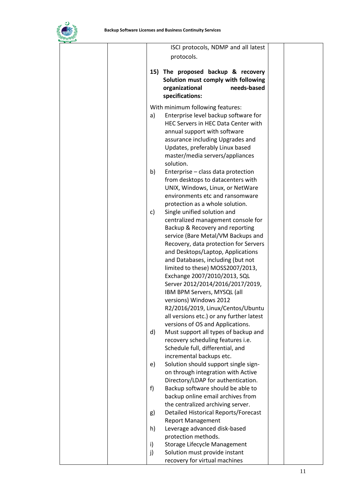

|  |    | ISCI protocols, NDMP and all latest                      |  |
|--|----|----------------------------------------------------------|--|
|  |    | protocols.                                               |  |
|  |    |                                                          |  |
|  |    | 15) The proposed backup & recovery                       |  |
|  |    | Solution must comply with following                      |  |
|  |    | organizational<br>needs-based                            |  |
|  |    | specifications:                                          |  |
|  |    | With minimum following features:                         |  |
|  | a) | Enterprise level backup software for                     |  |
|  |    | HEC Servers in HEC Data Center with                      |  |
|  |    | annual support with software                             |  |
|  |    | assurance including Upgrades and                         |  |
|  |    | Updates, preferably Linux based                          |  |
|  |    | master/media servers/appliances                          |  |
|  |    | solution.                                                |  |
|  | b) | Enterprise - class data protection                       |  |
|  |    | from desktops to datacenters with                        |  |
|  |    | UNIX, Windows, Linux, or NetWare                         |  |
|  |    | environments etc and ransomware                          |  |
|  |    | protection as a whole solution.                          |  |
|  | c) | Single unified solution and                              |  |
|  |    | centralized management console for                       |  |
|  |    | Backup & Recovery and reporting                          |  |
|  |    | service (Bare Metal/VM Backups and                       |  |
|  |    | Recovery, data protection for Servers                    |  |
|  |    | and Desktops/Laptop, Applications                        |  |
|  |    | and Databases, including (but not                        |  |
|  |    | limited to these) MOSS2007/2013,                         |  |
|  |    | Exchange 2007/2010/2013, SQL                             |  |
|  |    | Server 2012/2014/2016/2017/2019,                         |  |
|  |    | IBM BPM Servers, MYSQL (all                              |  |
|  |    | versions) Windows 2012                                   |  |
|  |    | R2/2016/2019, Linux/Centos/Ubuntu                        |  |
|  |    | all versions etc.) or any further latest                 |  |
|  |    | versions of OS and Applications.                         |  |
|  | d) | Must support all types of backup and                     |  |
|  |    | recovery scheduling features i.e.                        |  |
|  |    | Schedule full, differential, and                         |  |
|  |    | incremental backups etc.                                 |  |
|  | e) | Solution should support single sign-                     |  |
|  |    | on through integration with Active                       |  |
|  |    | Directory/LDAP for authentication.                       |  |
|  | f) | Backup software should be able to                        |  |
|  |    | backup online email archives from                        |  |
|  |    | the centralized archiving server.                        |  |
|  | g) | <b>Detailed Historical Reports/Forecast</b>              |  |
|  | h) | <b>Report Management</b><br>Leverage advanced disk-based |  |
|  |    | protection methods.                                      |  |
|  | i) | Storage Lifecycle Management                             |  |
|  | j) | Solution must provide instant                            |  |
|  |    | recovery for virtual machines                            |  |
|  |    |                                                          |  |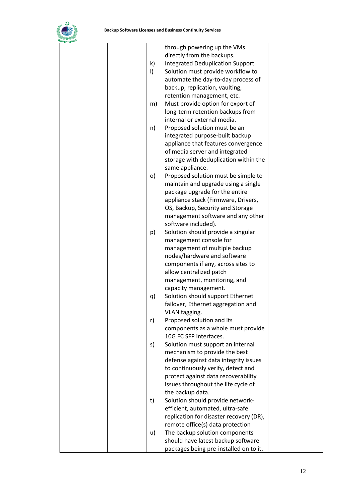

|  |              | through powering up the VMs             |  |
|--|--------------|-----------------------------------------|--|
|  |              | directly from the backups.              |  |
|  | $\mathsf{k}$ | <b>Integrated Deduplication Support</b> |  |
|  | $\vert$      | Solution must provide workflow to       |  |
|  |              | automate the day-to-day process of      |  |
|  |              | backup, replication, vaulting,          |  |
|  |              | retention management, etc.              |  |
|  | m)           | Must provide option for export of       |  |
|  |              | long-term retention backups from        |  |
|  |              | internal or external media.             |  |
|  |              |                                         |  |
|  | n)           | Proposed solution must be an            |  |
|  |              | integrated purpose-built backup         |  |
|  |              | appliance that features convergence     |  |
|  |              | of media server and integrated          |  |
|  |              | storage with deduplication within the   |  |
|  |              | same appliance.                         |  |
|  | o)           | Proposed solution must be simple to     |  |
|  |              | maintain and upgrade using a single     |  |
|  |              | package upgrade for the entire          |  |
|  |              | appliance stack (Firmware, Drivers,     |  |
|  |              | OS, Backup, Security and Storage        |  |
|  |              | management software and any other       |  |
|  |              | software included).                     |  |
|  | p)           | Solution should provide a singular      |  |
|  |              | management console for                  |  |
|  |              | management of multiple backup           |  |
|  |              | nodes/hardware and software             |  |
|  |              | components if any, across sites to      |  |
|  |              | allow centralized patch                 |  |
|  |              | management, monitoring, and             |  |
|  |              | capacity management.                    |  |
|  | q)           | Solution should support Ethernet        |  |
|  |              | failover, Ethernet aggregation and      |  |
|  |              | VLAN tagging.                           |  |
|  | r)           | Proposed solution and its               |  |
|  |              | components as a whole must provide      |  |
|  |              | 10G FC SFP interfaces.                  |  |
|  | s)           | Solution must support an internal       |  |
|  |              | mechanism to provide the best           |  |
|  |              | defense against data integrity issues   |  |
|  |              | to continuously verify, detect and      |  |
|  |              | protect against data recoverability     |  |
|  |              | issues throughout the life cycle of     |  |
|  |              | the backup data.                        |  |
|  | t)           | Solution should provide network-        |  |
|  |              | efficient, automated, ultra-safe        |  |
|  |              | replication for disaster recovery (DR), |  |
|  |              | remote office(s) data protection        |  |
|  | u)           | The backup solution components          |  |
|  |              | should have latest backup software      |  |
|  |              | packages being pre-installed on to it.  |  |
|  |              |                                         |  |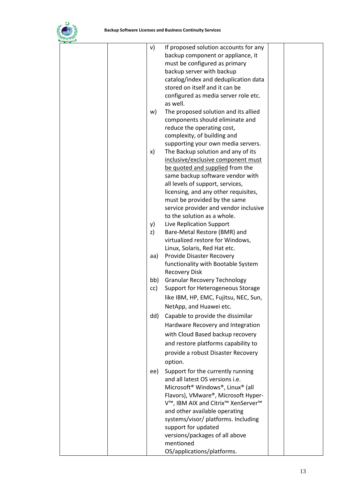

|  | v)  | If proposed solution accounts for any                                     |  |
|--|-----|---------------------------------------------------------------------------|--|
|  |     | backup component or appliance, it                                         |  |
|  |     | must be configured as primary                                             |  |
|  |     | backup server with backup                                                 |  |
|  |     | catalog/index and deduplication data                                      |  |
|  |     | stored on itself and it can be                                            |  |
|  |     | configured as media server role etc.                                      |  |
|  |     | as well.                                                                  |  |
|  | w)  | The proposed solution and its allied                                      |  |
|  |     | components should eliminate and                                           |  |
|  |     | reduce the operating cost,                                                |  |
|  |     | complexity, of building and                                               |  |
|  |     | supporting your own media servers.                                        |  |
|  | x)  | The Backup solution and any of its                                        |  |
|  |     | inclusive/exclusive component must                                        |  |
|  |     | be quoted and supplied from the                                           |  |
|  |     | same backup software vendor with                                          |  |
|  |     | all levels of support, services,                                          |  |
|  |     | licensing, and any other requisites,                                      |  |
|  |     | must be provided by the same                                              |  |
|  |     | service provider and vendor inclusive                                     |  |
|  |     | to the solution as a whole.                                               |  |
|  | y)  | Live Replication Support                                                  |  |
|  | z)  | Bare-Metal Restore (BMR) and                                              |  |
|  |     | virtualized restore for Windows,                                          |  |
|  |     | Linux, Solaris, Red Hat etc.                                              |  |
|  | aa) | Provide Disaster Recovery                                                 |  |
|  |     | functionality with Bootable System                                        |  |
|  |     | <b>Recovery Disk</b>                                                      |  |
|  | bb) | <b>Granular Recovery Technology</b>                                       |  |
|  | cc) | Support for Heterogeneous Storage                                         |  |
|  |     | like IBM, HP, EMC, Fujitsu, NEC, Sun,                                     |  |
|  |     | NetApp, and Huawei etc.                                                   |  |
|  | dd) | Capable to provide the dissimilar                                         |  |
|  |     | Hardware Recovery and Integration                                         |  |
|  |     | with Cloud Based backup recovery                                          |  |
|  |     | and restore platforms capability to                                       |  |
|  |     | provide a robust Disaster Recovery                                        |  |
|  |     |                                                                           |  |
|  |     | option.                                                                   |  |
|  | ee) | Support for the currently running                                         |  |
|  |     | and all latest OS versions i.e.                                           |  |
|  |     | Microsoft <sup>®</sup> Windows <sup>®</sup> , Linux <sup>®</sup> (all     |  |
|  |     | Flavors), VMware®, Microsoft Hyper-<br>V™, IBM AIX and Citrix™ XenServer™ |  |
|  |     | and other available operating                                             |  |
|  |     | systems/visor/ platforms. Including                                       |  |
|  |     | support for updated                                                       |  |
|  |     | versions/packages of all above                                            |  |
|  |     | mentioned                                                                 |  |
|  |     | OS/applications/platforms.                                                |  |
|  |     |                                                                           |  |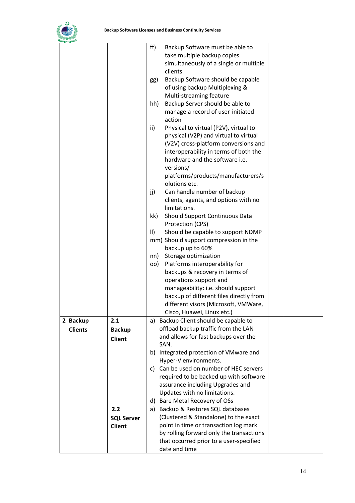

|                |                   | ff)<br>Backup Software must be able to                   |
|----------------|-------------------|----------------------------------------------------------|
|                |                   | take multiple backup copies                              |
|                |                   | simultaneously of a single or multiple                   |
|                |                   | clients.                                                 |
|                |                   | Backup Software should be capable<br>gg)                 |
|                |                   | of using backup Multiplexing &                           |
|                |                   | Multi-streaming feature                                  |
|                |                   | Backup Server should be able to<br>hh)                   |
|                |                   | manage a record of user-initiated                        |
|                |                   | action                                                   |
|                |                   | ii)<br>Physical to virtual (P2V), virtual to             |
|                |                   | physical (V2P) and virtual to virtual                    |
|                |                   | (V2V) cross-platform conversions and                     |
|                |                   | interoperability in terms of both the                    |
|                |                   | hardware and the software i.e.                           |
|                |                   | versions/                                                |
|                |                   | platforms/products/manufacturers/s                       |
|                |                   | olutions etc.                                            |
|                |                   | Can handle number of backup<br>jj)                       |
|                |                   | clients, agents, and options with no                     |
|                |                   | limitations.                                             |
|                |                   | kk)<br>Should Support Continuous Data                    |
|                |                   | Protection (CPS)                                         |
|                |                   | Should be capable to support NDMP<br>$\parallel$         |
|                |                   | mm) Should support compression in the                    |
|                |                   | backup up to 60%                                         |
|                |                   | Storage optimization<br>nn)                              |
|                |                   | Platforms interoperability for<br>OO)                    |
|                |                   | backups & recovery in terms of<br>operations support and |
|                |                   | manageability: i.e. should support                       |
|                |                   | backup of different files directly from                  |
|                |                   | different visors (Microsoft, VMWare,                     |
|                |                   | Cisco, Huawei, Linux etc.)                               |
| 2 Backup       | 2.1               | a) Backup Client should be capable to                    |
| <b>Clients</b> |                   | offload backup traffic from the LAN                      |
|                | <b>Backup</b>     | and allows for fast backups over the                     |
|                | <b>Client</b>     | SAN.                                                     |
|                |                   | b) Integrated protection of VMware and                   |
|                |                   | Hyper-V environments.                                    |
|                |                   | c) Can be used on number of HEC servers                  |
|                |                   | required to be backed up with software                   |
|                |                   | assurance including Upgrades and                         |
|                |                   | Updates with no limitations.                             |
|                |                   | d) Bare Metal Recovery of OSs                            |
|                | 2.2               | a) Backup & Restores SQL databases                       |
|                | <b>SQL Server</b> | (Clustered & Standalone) to the exact                    |
|                | Client            | point in time or transaction log mark                    |
|                |                   | by rolling forward only the transactions                 |
|                |                   | that occurred prior to a user-specified                  |
|                |                   | date and time                                            |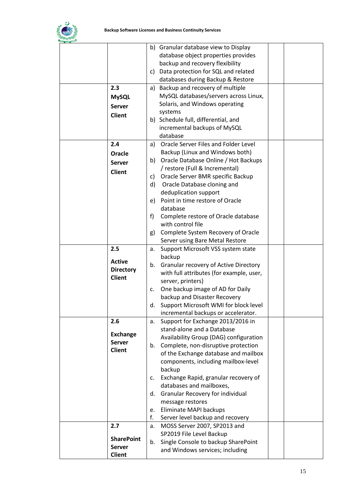

|                   | b) Granular database view to Display        |  |
|-------------------|---------------------------------------------|--|
|                   | database object properties provides         |  |
|                   | backup and recovery flexibility             |  |
|                   |                                             |  |
|                   | Data protection for SQL and related<br>C)   |  |
|                   | databases during Backup & Restore           |  |
| 2.3               | a) Backup and recovery of multiple          |  |
| <b>MySQL</b>      | MySQL databases/servers across Linux,       |  |
| <b>Server</b>     | Solaris, and Windows operating              |  |
|                   | systems                                     |  |
| <b>Client</b>     | b) Schedule full, differential, and         |  |
|                   |                                             |  |
|                   | incremental backups of MySQL                |  |
|                   | database                                    |  |
| 2.4               | Oracle Server Files and Folder Level<br>a)  |  |
| Oracle            | Backup (Linux and Windows both)             |  |
| <b>Server</b>     | Oracle Database Online / Hot Backups<br>b)  |  |
|                   | / restore (Full & Incremental)              |  |
| <b>Client</b>     | c) Oracle Server BMR specific Backup        |  |
|                   | Oracle Database cloning and<br>d)           |  |
|                   | deduplication support                       |  |
|                   | Point in time restore of Oracle<br>e)       |  |
|                   | database                                    |  |
|                   |                                             |  |
|                   | f<br>Complete restore of Oracle database    |  |
|                   | with control file                           |  |
|                   | Complete System Recovery of Oracle<br>g)    |  |
|                   | Server using Bare Metal Restore             |  |
| 2.5               | Support Microsoft VSS system state<br>a.    |  |
|                   | backup                                      |  |
| <b>Active</b>     | Granular recovery of Active Directory<br>b. |  |
| <b>Directory</b>  | with full attributes (for example, user,    |  |
| <b>Client</b>     | server, printers)                           |  |
|                   | One backup image of AD for Daily            |  |
|                   | c.                                          |  |
|                   | backup and Disaster Recovery                |  |
|                   | Support Microsoft WMI for block level<br>d. |  |
|                   | incremental backups or accelerator.         |  |
| 2.6               | Support for Exchange 2013/2016 in<br>a.     |  |
|                   | stand-alone and a Database                  |  |
| <b>Exchange</b>   | Availability Group (DAG) configuration      |  |
| <b>Server</b>     | Complete, non-disruptive protection<br>b.   |  |
| <b>Client</b>     | of the Exchange database and mailbox        |  |
|                   | components, including mailbox-level         |  |
|                   | backup                                      |  |
|                   |                                             |  |
|                   | Exchange Rapid, granular recovery of<br>c.  |  |
|                   | databases and mailboxes,                    |  |
|                   | Granular Recovery for individual<br>d.      |  |
|                   | message restores                            |  |
|                   | Eliminate MAPI backups<br>e.                |  |
|                   | f.<br>Server level backup and recovery      |  |
| 2.7               | MOSS Server 2007, SP2013 and<br>a.          |  |
|                   | SP2019 File Level Backup                    |  |
| <b>SharePoint</b> | Single Console to backup SharePoint<br>b.   |  |
| <b>Server</b>     | and Windows services; including             |  |
| <b>Client</b>     |                                             |  |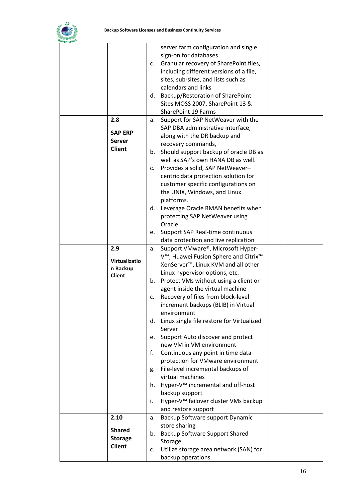

|                | server farm configuration and single             |  |
|----------------|--------------------------------------------------|--|
|                | sign-on for databases                            |  |
|                | Granular recovery of SharePoint files,           |  |
|                | c.                                               |  |
|                | including different versions of a file,          |  |
|                | sites, sub-sites, and lists such as              |  |
|                | calendars and links                              |  |
|                | d. Backup/Restoration of SharePoint              |  |
|                | Sites MOSS 2007, SharePoint 13 &                 |  |
|                | <b>SharePoint 19 Farms</b>                       |  |
|                |                                                  |  |
| 2.8            | Support for SAP NetWeaver with the<br>а.         |  |
|                | SAP DBA administrative interface,                |  |
| <b>SAP ERP</b> | along with the DR backup and                     |  |
| <b>Server</b>  | recovery commands,                               |  |
| <b>Client</b>  | Should support backup of oracle DB as<br>b.      |  |
|                | well as SAP's own HANA DB as well.               |  |
|                |                                                  |  |
|                | c. Provides a solid, SAP NetWeaver-              |  |
|                | centric data protection solution for             |  |
|                | customer specific configurations on              |  |
|                | the UNIX, Windows, and Linux                     |  |
|                | platforms.                                       |  |
|                | d. Leverage Oracle RMAN benefits when            |  |
|                |                                                  |  |
|                | protecting SAP NetWeaver using                   |  |
|                | Oracle                                           |  |
|                | Support SAP Real-time continuous<br>e.           |  |
|                | data protection and live replication             |  |
| 2.9            | Support VMware®, Microsoft Hyper-<br>a.          |  |
|                | V™, Huawei Fusion Sphere and Citrix <sup>™</sup> |  |
| Virtualizatio  | XenServer <sup>™</sup> , Linux KVM and all other |  |
| n Backup       | Linux hypervisor options, etc.                   |  |
| <b>Client</b>  |                                                  |  |
|                | b. Protect VMs without using a client or         |  |
|                | agent inside the virtual machine                 |  |
|                | Recovery of files from block-level<br>c.         |  |
|                | increment backups (BLIB) in Virtual              |  |
|                | environment                                      |  |
|                | d. Linux single file restore for Virtualized     |  |
|                | Server                                           |  |
|                | Support Auto discover and protect<br>e.          |  |
|                | new VM in VM environment                         |  |
|                | f.<br>Continuous any point in time data          |  |
|                |                                                  |  |
|                | protection for VMware environment                |  |
|                | File-level incremental backups of<br>g.          |  |
|                | virtual machines                                 |  |
|                | h. Hyper-V <sup>™</sup> incremental and off-host |  |
|                | backup support                                   |  |
|                | Hyper-V™ failover cluster VMs backup<br>i.       |  |
|                | and restore support                              |  |
| 2.10           | Backup Software support Dynamic<br>a.            |  |
|                | store sharing                                    |  |
| <b>Shared</b>  |                                                  |  |
| <b>Storage</b> | Backup Software Support Shared<br>b.             |  |
| <b>Client</b>  | Storage                                          |  |
|                | Utilize storage area network (SAN) for<br>c.     |  |
|                | backup operations.                               |  |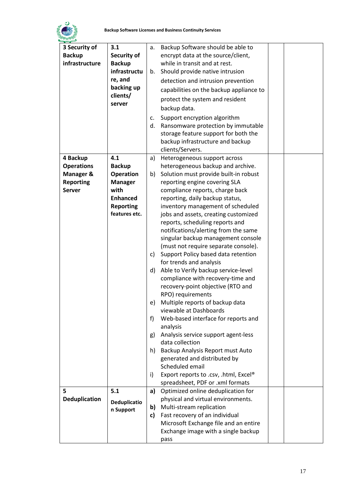

| 3 Security of        | 3.1                               | a. | Backup Software should be able to                                         |  |
|----------------------|-----------------------------------|----|---------------------------------------------------------------------------|--|
| <b>Backup</b>        | Security of                       |    | encrypt data at the source/client,                                        |  |
| infrastructure       | <b>Backup</b>                     |    | while in transit and at rest.                                             |  |
|                      | infrastructu                      | b. | Should provide native intrusion                                           |  |
|                      | re, and                           |    | detection and intrusion prevention                                        |  |
|                      | backing up                        |    | capabilities on the backup appliance to                                   |  |
|                      | clients/                          |    | protect the system and resident                                           |  |
|                      | server                            |    | backup data.                                                              |  |
|                      |                                   |    |                                                                           |  |
|                      |                                   | c. | Support encryption algorithm                                              |  |
|                      |                                   | d. | Ransomware protection by immutable                                        |  |
|                      |                                   |    | storage feature support for both the                                      |  |
|                      |                                   |    | backup infrastructure and backup                                          |  |
|                      |                                   |    | clients/Servers.                                                          |  |
| 4 Backup             | 4.1                               | a) | Heterogeneous support across                                              |  |
| <b>Operations</b>    | <b>Backup</b>                     |    | heterogeneous backup and archive.                                         |  |
| <b>Manager &amp;</b> | <b>Operation</b>                  | b) | Solution must provide built-in robust                                     |  |
| <b>Reporting</b>     | <b>Manager</b><br>with            |    | reporting engine covering SLA                                             |  |
| <b>Server</b>        | <b>Enhanced</b>                   |    | compliance reports, charge back                                           |  |
|                      |                                   |    | reporting, daily backup status,                                           |  |
|                      | <b>Reporting</b><br>features etc. |    | inventory management of scheduled<br>jobs and assets, creating customized |  |
|                      |                                   |    |                                                                           |  |
|                      |                                   |    | reports, scheduling reports and                                           |  |
|                      |                                   |    | notifications/alerting from the same                                      |  |
|                      |                                   |    | singular backup management console                                        |  |
|                      |                                   |    | (must not require separate console).                                      |  |
|                      |                                   | c) | Support Policy based data retention                                       |  |
|                      |                                   |    | for trends and analysis                                                   |  |
|                      |                                   | d) | Able to Verify backup service-level<br>compliance with recovery-time and  |  |
|                      |                                   |    | recovery-point objective (RTO and                                         |  |
|                      |                                   |    | RPO) requirements                                                         |  |
|                      |                                   | e) | Multiple reports of backup data                                           |  |
|                      |                                   |    | viewable at Dashboards                                                    |  |
|                      |                                   | f  | Web-based interface for reports and                                       |  |
|                      |                                   |    | analysis                                                                  |  |
|                      |                                   | g) | Analysis service support agent-less                                       |  |
|                      |                                   |    | data collection                                                           |  |
|                      |                                   | h) | Backup Analysis Report must Auto                                          |  |
|                      |                                   |    | generated and distributed by                                              |  |
|                      |                                   |    | Scheduled email                                                           |  |
|                      |                                   | i) | Export reports to .csv, .html, Excel®                                     |  |
|                      |                                   |    | spreadsheet, PDF or .xml formats                                          |  |
| 5                    | 5.1                               | a) | Optimized online deduplication for                                        |  |
| Deduplication        |                                   |    | physical and virtual environments.                                        |  |
|                      | Deduplicatio<br>n Support         | b) | Multi-stream replication                                                  |  |
|                      |                                   | c) | Fast recovery of an individual                                            |  |
|                      |                                   |    | Microsoft Exchange file and an entire                                     |  |
|                      |                                   |    | Exchange image with a single backup                                       |  |
|                      |                                   |    | pass                                                                      |  |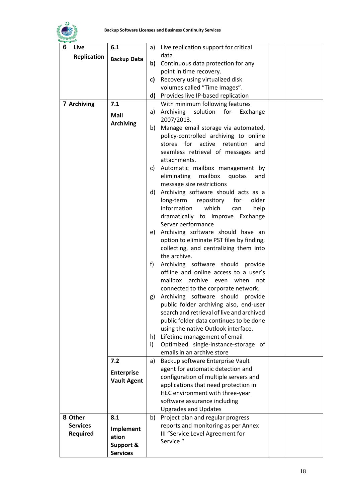

| 6<br>Live          | 6.1                  | a) Live replication support for critical       |
|--------------------|----------------------|------------------------------------------------|
| <b>Replication</b> | <b>Backup Data</b>   | data                                           |
|                    |                      | Continuous data protection for any<br>b)       |
|                    |                      | point in time recovery.                        |
|                    |                      | Recovery using virtualized disk<br>c)          |
|                    |                      | volumes called "Time Images".                  |
|                    |                      | d) Provides live IP-based replication          |
| 7 Archiving        | 7.1                  | With minimum following features                |
|                    | <b>Mail</b>          | Archiving<br>solution<br>for<br>Exchange<br>a) |
|                    |                      | 2007/2013.                                     |
|                    | <b>Archiving</b>     | Manage email storage via automated,<br>b)      |
|                    |                      | policy-controlled archiving to online          |
|                    |                      | stores for active<br>retention<br>and          |
|                    |                      | seamless retrieval of messages and             |
|                    |                      | attachments.                                   |
|                    |                      | c) Automatic mailbox management by             |
|                    |                      | eliminating<br>mailbox<br>quotas<br>and        |
|                    |                      | message size restrictions                      |
|                    |                      | Archiving software should acts as a<br>d)      |
|                    |                      | long-term<br>repository<br>for<br>older        |
|                    |                      | information<br>which<br>can<br>help            |
|                    |                      | dramatically to improve Exchange               |
|                    |                      | Server performance                             |
|                    |                      | e) Archiving software should have an           |
|                    |                      | option to eliminate PST files by finding,      |
|                    |                      | collecting, and centralizing them into         |
|                    |                      | the archive.                                   |
|                    |                      | Archiving software should provide<br>f)        |
|                    |                      | offline and online access to a user's          |
|                    |                      | mailbox archive even when<br>not               |
|                    |                      | connected to the corporate network.            |
|                    |                      | Archiving software should provide<br>g)        |
|                    |                      | public folder archiving also, end-user         |
|                    |                      | search and retrieval of live and archived      |
|                    |                      | public folder data continues to be done        |
|                    |                      | using the native Outlook interface.            |
|                    |                      | Lifetime management of email<br>h)             |
|                    |                      | Optimized single-instance-storage of<br>i)     |
|                    |                      | emails in an archive store                     |
|                    | 7.2                  | Backup software Enterprise Vault<br>a)         |
|                    | <b>Enterprise</b>    | agent for automatic detection and              |
|                    | <b>Vault Agent</b>   | configuration of multiple servers and          |
|                    |                      | applications that need protection in           |
|                    |                      | HEC environment with three-year                |
|                    |                      | software assurance including                   |
|                    |                      | <b>Upgrades and Updates</b>                    |
| 8 Other            | 8.1                  | Project plan and regular progress<br>b)        |
| <b>Services</b>    | Implement            | reports and monitoring as per Annex            |
| Required           | ation                | III "Service Level Agreement for               |
|                    | <b>Support &amp;</b> | Service "                                      |
|                    | <b>Services</b>      |                                                |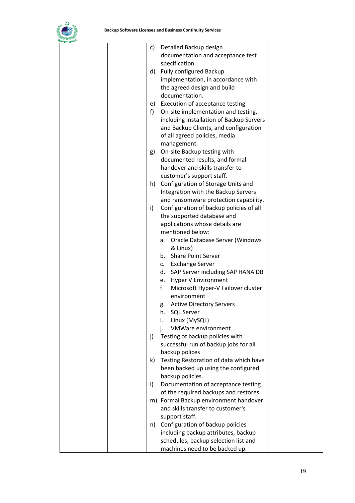

| Detailed Backup design<br>c)                                                  |  |
|-------------------------------------------------------------------------------|--|
| documentation and acceptance test                                             |  |
| specification.                                                                |  |
| <b>Fully configured Backup</b><br>d)                                          |  |
| implementation, in accordance with                                            |  |
| the agreed design and build                                                   |  |
| documentation.                                                                |  |
| Execution of acceptance testing<br>e)                                         |  |
| On-site implementation and testing,<br>f)                                     |  |
| including installation of Backup Servers                                      |  |
| and Backup Clients, and configuration                                         |  |
| of all agreed policies, media                                                 |  |
| management.                                                                   |  |
| On-site Backup testing with<br>g)                                             |  |
| documented results, and formal                                                |  |
| handover and skills transfer to                                               |  |
| customer's support staff.                                                     |  |
| Configuration of Storage Units and<br>h)                                      |  |
| Integration with the Backup Servers                                           |  |
| and ransomware protection capability.                                         |  |
| Configuration of backup policies of all<br>i)                                 |  |
| the supported database and                                                    |  |
| applications whose details are                                                |  |
| mentioned below:                                                              |  |
| Oracle Database Server (Windows<br>а.                                         |  |
| & Linux)                                                                      |  |
| b. Share Point Server                                                         |  |
| c. Exchange Server                                                            |  |
| d. SAP Server including SAP HANA DB                                           |  |
| e. Hyper V Environment                                                        |  |
| f.<br>Microsoft Hyper-V Failover cluster                                      |  |
| environment                                                                   |  |
| <b>Active Directory Servers</b><br>g.                                         |  |
| <b>SQL Server</b><br>h.                                                       |  |
| Linux (MySQL)<br>i.                                                           |  |
| VMWare environment<br>İ.                                                      |  |
| Testing of backup policies with<br>j)                                         |  |
| successful run of backup jobs for all                                         |  |
| backup polices                                                                |  |
| Testing Restoration of data which have<br>k)                                  |  |
| been backed up using the configured                                           |  |
| backup policies.                                                              |  |
| Documentation of acceptance testing<br>$\vert$                                |  |
| of the required backups and restores<br>m) Formal Backup environment handover |  |
| and skills transfer to customer's                                             |  |
| support staff.                                                                |  |
| n) Configuration of backup policies                                           |  |
| including backup attributes, backup                                           |  |
| schedules, backup selection list and                                          |  |
| machines need to be backed up.                                                |  |
|                                                                               |  |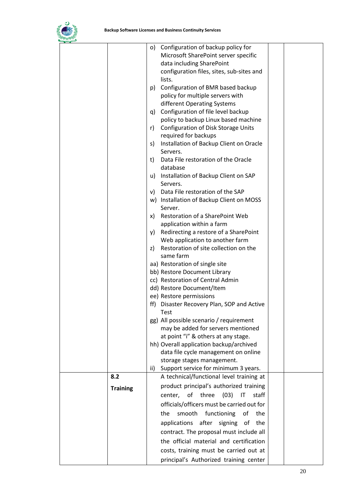

|                 | $\circ$ ) | Configuration of backup policy for            |  |
|-----------------|-----------|-----------------------------------------------|--|
|                 |           | Microsoft SharePoint server specific          |  |
|                 |           | data including SharePoint                     |  |
|                 |           | configuration files, sites, sub-sites and     |  |
|                 |           | lists.                                        |  |
|                 | p)        | Configuration of BMR based backup             |  |
|                 |           |                                               |  |
|                 |           | policy for multiple servers with              |  |
|                 |           | different Operating Systems                   |  |
|                 | q)        | Configuration of file level backup            |  |
|                 |           | policy to backup Linux based machine          |  |
|                 | r)        | Configuration of Disk Storage Units           |  |
|                 |           | required for backups                          |  |
|                 | s)        | Installation of Backup Client on Oracle       |  |
|                 |           | Servers.                                      |  |
|                 | t)        | Data File restoration of the Oracle           |  |
|                 |           | database                                      |  |
|                 | u)        | Installation of Backup Client on SAP          |  |
|                 |           | Servers.                                      |  |
|                 |           | v) Data File restoration of the SAP           |  |
|                 |           |                                               |  |
|                 |           | w) Installation of Backup Client on MOSS      |  |
|                 |           | Server.                                       |  |
|                 | X)        | Restoration of a SharePoint Web               |  |
|                 |           | application within a farm                     |  |
|                 | y)        | Redirecting a restore of a SharePoint         |  |
|                 |           | Web application to another farm               |  |
|                 | z)        | Restoration of site collection on the         |  |
|                 |           | same farm                                     |  |
|                 |           | aa) Restoration of single site                |  |
|                 |           | bb) Restore Document Library                  |  |
|                 |           | cc) Restoration of Central Admin              |  |
|                 |           | dd) Restore Document/Item                     |  |
|                 |           | ee) Restore permissions                       |  |
|                 | ff)       | Disaster Recovery Plan, SOP and Active        |  |
|                 |           | Test                                          |  |
|                 |           | gg) All possible scenario / requirement       |  |
|                 |           | may be added for servers mentioned            |  |
|                 |           |                                               |  |
|                 |           | at point "i" & others at any stage.           |  |
|                 |           | hh) Overall application backup/archived       |  |
|                 |           | data file cycle management on online          |  |
|                 |           | storage stages management.                    |  |
|                 | ii)       | Support service for minimum 3 years.          |  |
| 8.2             |           | A technical/functional level training at      |  |
| <b>Training</b> |           | product principal's authorized training       |  |
|                 |           | of<br>three<br>(03)<br>IT<br>staff<br>center, |  |
|                 |           | officials/officers must be carried out for    |  |
|                 |           |                                               |  |
|                 |           | smooth<br>functioning<br>of<br>the<br>the     |  |
|                 |           | after signing<br>applications<br>of<br>the    |  |
|                 |           | contract. The proposal must include all       |  |
|                 |           | the official material and certification       |  |
|                 |           |                                               |  |
|                 |           | costs, training must be carried out at        |  |
|                 |           | principal's Authorized training center        |  |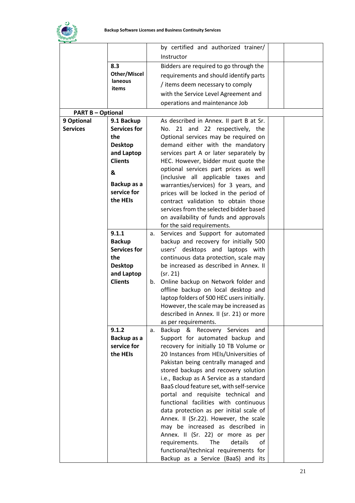

<span id="page-22-0"></span>

|                          |                     |    | by certified and authorized trainer/       |  |
|--------------------------|---------------------|----|--------------------------------------------|--|
|                          |                     |    | Instructor                                 |  |
|                          | 8.3                 |    | Bidders are required to go through the     |  |
|                          | <b>Other/Miscel</b> |    | requirements and should identify parts     |  |
|                          | laneous             |    |                                            |  |
|                          | items               |    | / items deem necessary to comply           |  |
|                          |                     |    | with the Service Level Agreement and       |  |
|                          |                     |    | operations and maintenance Job             |  |
| <b>PART B - Optional</b> |                     |    |                                            |  |
| 9 Optional               | 9.1 Backup          |    | As described in Annex. II part B at Sr.    |  |
| <b>Services</b>          | <b>Services for</b> |    | No. 21 and 22 respectively, the            |  |
|                          | the                 |    | Optional services may be required on       |  |
|                          | <b>Desktop</b>      |    | demand either with the mandatory           |  |
|                          | and Laptop          |    | services part A or later separately by     |  |
|                          | <b>Clients</b>      |    | HEC. However, bidder must quote the        |  |
|                          | &                   |    | optional services part prices as well      |  |
|                          |                     |    | (inclusive all applicable taxes and        |  |
|                          | Backup as a         |    | warranties/services) for 3 years, and      |  |
|                          | service for         |    | prices will be locked in the period of     |  |
|                          | the HEIs            |    | contract validation to obtain those        |  |
|                          |                     |    | services from the selected bidder based    |  |
|                          |                     |    | on availability of funds and approvals     |  |
|                          |                     |    | for the said requirements.                 |  |
|                          | 9.1.1               | a. | Services and Support for automated         |  |
|                          | <b>Backup</b>       |    | backup and recovery for initially 500      |  |
|                          | <b>Services for</b> |    | users' desktops and laptops with           |  |
|                          | the                 |    | continuous data protection, scale may      |  |
|                          | <b>Desktop</b>      |    | be increased as described in Annex. II     |  |
|                          | and Laptop          |    | (sr. 21)                                   |  |
|                          | <b>Clients</b>      | b. | Online backup on Network folder and        |  |
|                          |                     |    | offline backup on local desktop and        |  |
|                          |                     |    | laptop folders of 500 HEC users initially. |  |
|                          |                     |    | However, the scale may be increased as     |  |
|                          |                     |    | described in Annex. II (sr. 21) or more    |  |
|                          |                     |    | as per requirements.                       |  |
|                          | 9.1.2               | a. | Backup & Recovery Services<br>and          |  |
|                          | Backup as a         |    | Support for automated backup and           |  |
|                          | service for         |    | recovery for initially 10 TB Volume or     |  |
|                          | the HEIs            |    | 20 Instances from HEIs/Universities of     |  |
|                          |                     |    | Pakistan being centrally managed and       |  |
|                          |                     |    | stored backups and recovery solution       |  |
|                          |                     |    | i.e., Backup as A Service as a standard    |  |
|                          |                     |    | BaaS cloud feature set, with self-service  |  |
|                          |                     |    | portal and requisite technical and         |  |
|                          |                     |    | functional facilities with continuous      |  |
|                          |                     |    | data protection as per initial scale of    |  |
|                          |                     |    | Annex. II (Sr.22). However, the scale      |  |
|                          |                     |    | may be increased as described in           |  |
|                          |                     |    | Annex. II (Sr. 22) or more as per          |  |
|                          |                     |    | requirements.<br>The<br>details<br>of      |  |
|                          |                     |    | functional/technical requirements for      |  |
|                          |                     |    | Backup as a Service (BaaS) and its         |  |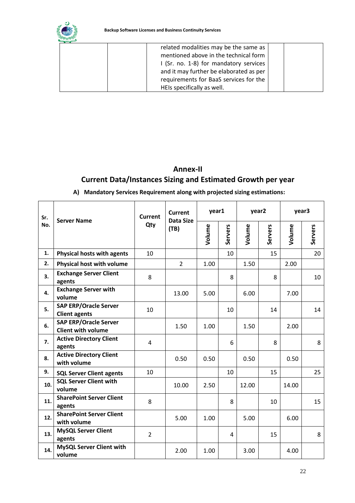

| related modalities may be the same as   |  |
|-----------------------------------------|--|
| mentioned above in the technical form   |  |
| I (Sr. no. 1-8) for mandatory services  |  |
| and it may further be elaborated as per |  |
| requirements for BaaS services for the  |  |
| HEIs specifically as well.              |  |

# **Annex-II Current Data/Instances Sizing and Estimated Growth per year**

#### **A) Mandatory Services Requirement along with projected sizing estimations:**

| Sr. | <b>Server Name</b>                                        | <b>Current</b> | <b>Current</b><br>Data Size | year1  |                | year2  |                | year3  |                |
|-----|-----------------------------------------------------------|----------------|-----------------------------|--------|----------------|--------|----------------|--------|----------------|
| No. |                                                           | Qty            | (TB)                        | Volume | <b>Servers</b> | Volume | <b>Servers</b> | Volume | <b>Servers</b> |
| 1.  | <b>Physical hosts with agents</b>                         | 10             |                             |        | 10             |        | 15             |        | 20             |
| 2.  | Physical host with volume                                 |                | $\overline{2}$              | 1.00   |                | 1.50   |                | 2.00   |                |
| 3.  | <b>Exchange Server Client</b><br>agents                   | 8              |                             |        | 8              |        | 8              |        | 10             |
| 4.  | <b>Exchange Server with</b><br>volume                     |                | 13.00                       | 5.00   |                | 6.00   |                | 7.00   |                |
| 5.  | <b>SAP ERP/Oracle Server</b><br><b>Client agents</b>      | 10             |                             |        | 10             |        | 14             |        | 14             |
| 6.  | <b>SAP ERP/Oracle Server</b><br><b>Client with volume</b> |                | 1.50                        | 1.00   |                | 1.50   |                | 2.00   |                |
| 7.  | <b>Active Directory Client</b><br>agents                  | 4              |                             |        | 6              |        | 8              |        | 8              |
| 8.  | <b>Active Directory Client</b><br>with volume             |                | 0.50                        | 0.50   |                | 0.50   |                | 0.50   |                |
| 9.  | <b>SQL Server Client agents</b>                           | 10             |                             |        | 10             |        | 15             |        | 25             |
| 10. | <b>SQL Server Client with</b><br>volume                   |                | 10.00                       | 2.50   |                | 12.00  |                | 14.00  |                |
| 11. | <b>SharePoint Server Client</b><br>agents                 | 8              |                             |        | 8              |        | 10             |        | 15             |
| 12. | <b>SharePoint Server Client</b><br>with volume            |                | 5.00                        | 1.00   |                | 5.00   |                | 6.00   |                |
| 13. | <b>MySQL Server Client</b><br>agents                      | $\overline{2}$ |                             |        | 4              |        | 15             |        | 8              |
| 14. | <b>MySQL Server Client with</b><br>volume                 |                | 2.00                        | 1.00   |                | 3.00   |                | 4.00   |                |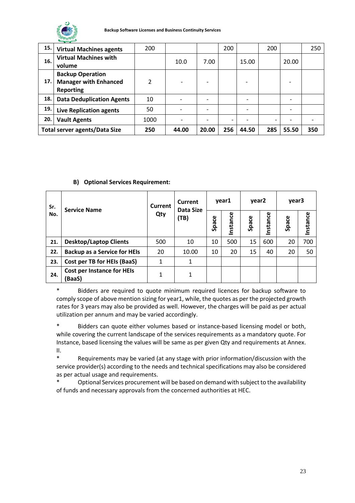

| 15. | <b>Virtual Machines agents</b>                                              | 200  |       |       | 200 |       | 200            |       | 250 |
|-----|-----------------------------------------------------------------------------|------|-------|-------|-----|-------|----------------|-------|-----|
| 16. | <b>Virtual Machines with</b><br>volume                                      |      | 10.0  | 7.00  |     | 15.00 |                | 20.00 |     |
| 17. | <b>Backup Operation</b><br><b>Manager with Enhanced</b><br><b>Reporting</b> | ำ    |       |       |     | -     |                |       |     |
| 18. | <b>Data Deduplication Agents</b>                                            | 10   |       |       |     |       |                |       |     |
| 19. | <b>Live Replication agents</b>                                              | 50   |       |       |     |       |                |       |     |
| 20. | <b>Vault Agents</b>                                                         | 1000 |       |       |     |       | $\overline{a}$ |       |     |
|     | <b>Total server agents/Data Size</b>                                        | 250  | 44.00 | 20.00 | 256 | 44.50 | 285            | 55.50 | 350 |

#### <span id="page-24-0"></span>**B) Optional Services Requirement:**

| Sr. | <b>Service Name</b>                        | Current | Current<br>Data Size | year1 |              | year <sub>2</sub> |         | year3 |         |
|-----|--------------------------------------------|---------|----------------------|-------|--------------|-------------------|---------|-------|---------|
| No. |                                            | Qty     | (TB)                 | Space | ပ္ပ<br>nstan | Space             | nstance | Space | nstance |
| 21. | <b>Desktop/Laptop Clients</b>              | 500     | 10                   | 10    | 500          | 15                | 600     | 20    | 700     |
| 22. | <b>Backup as a Service for HEIs</b>        | 20      | 10.00                | 10    | 20           | 15                | 40      | 20    | 50      |
| 23. | Cost per TB for HEIs (BaaS)                | 1       | 1                    |       |              |                   |         |       |         |
| 24. | <b>Cost per Instance for HEIs</b><br>BaaS) | 1       | 1                    |       |              |                   |         |       |         |

\* Bidders are required to quote minimum required licences for backup software to comply scope of above mention sizing for year1, while, the quotes as per the projected growth rates for 3 years may also be provided as well. However, the charges will be paid as per actual utilization per annum and may be varied accordingly.

\* Bidders can quote either volumes based or instance-based licensing model or both, while covering the current landscape of the services requirements as a mandatory quote. For Instance, based licensing the values will be same as per given Qty and requirements at Annex. II.

\* Requirements may be varied (at any stage with prior information/discussion with the service provider(s) according to the needs and technical specifications may also be considered as per actual usage and requirements.

Optional Services procurement will be based on demand with subject to the availability of funds and necessary approvals from the concerned authorities at HEC.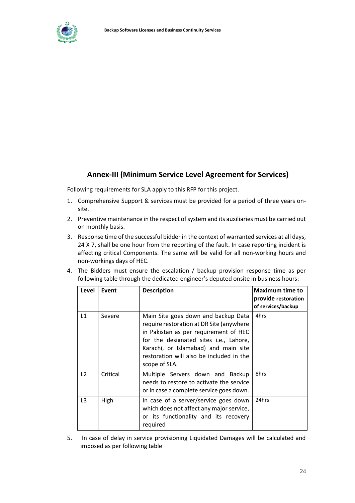

## **Annex-III (Minimum Service Level Agreement for Services)**

Following requirements for SLA apply to this RFP for this project.

- 1. Comprehensive Support & services must be provided for a period of three years onsite.
- 2. Preventive maintenance in the respect of system and its auxiliaries must be carried out on monthly basis.
- 3. Response time of the successful bidder in the context of warranted services at all days, 24 X 7, shall be one hour from the reporting of the fault. In case reporting incident is affecting critical Components. The same will be valid for all non-working hours and non-workings days of HEC.
- 4. The Bidders must ensure the escalation / backup provision response time as per following table through the dedicated engineer's deputed onsite in business hours:

| Level          | Event    | <b>Description</b>                                                                                                                                                                                                                                                      | <b>Maximum time to</b><br>provide restoration<br>of services/backup |
|----------------|----------|-------------------------------------------------------------------------------------------------------------------------------------------------------------------------------------------------------------------------------------------------------------------------|---------------------------------------------------------------------|
| L1             | Severe   | Main Site goes down and backup Data<br>require restoration at DR Site (anywhere<br>in Pakistan as per requirement of HEC<br>for the designated sites i.e., Lahore,<br>Karachi, or Islamabad) and main site<br>restoration will also be included in the<br>scope of SLA. | 4hrs                                                                |
| $\overline{2}$ | Critical | Multiple Servers down and Backup<br>needs to restore to activate the service<br>or in case a complete service goes down.                                                                                                                                                | 8hrs                                                                |
| L <sub>3</sub> | High     | In case of a server/service goes down<br>which does not affect any major service,<br>or its functionality and its recovery<br>required                                                                                                                                  | 24hrs                                                               |

5. In case of delay in service provisioning Liquidated Damages will be calculated and imposed as per following table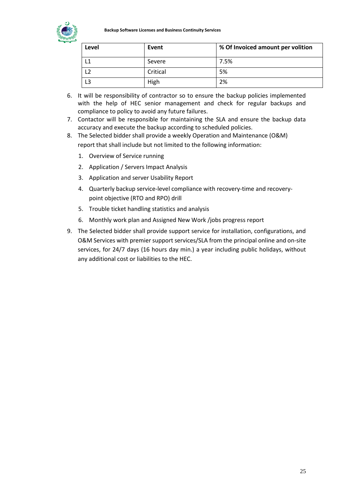

<span id="page-26-0"></span>

| Level | Event    | % Of Invoiced amount per volition |
|-------|----------|-----------------------------------|
| L1    | Severe   | 7.5%                              |
| L2    | Critical | 5%                                |
| L3    | High     | 2%                                |

- 6. It will be responsibility of contractor so to ensure the backup policies implemented with the help of HEC senior management and check for regular backups and compliance to policy to avoid any future failures.
- 7. Contactor will be responsible for maintaining the SLA and ensure the backup data accuracy and execute the backup according to scheduled policies.
- 8. The Selected bidder shall provide a weekly Operation and Maintenance (O&M) report that shall include but not limited to the following information:
	- 1. Overview of Service running
	- 2. Application / Servers Impact Analysis
	- 3. Application and server Usability Report
	- 4. Quarterly backup service-level compliance with recovery-time and recoverypoint objective (RTO and RPO) drill
	- 5. Trouble ticket handling statistics and analysis
	- 6. Monthly work plan and Assigned New Work /jobs progress report
- 9. The Selected bidder shall provide support service for installation, configurations, and O&M Services with premier support services/SLA from the principal online and on-site services, for 24/7 days (16 hours day min.) a year including public holidays, without any additional cost or liabilities to the HEC.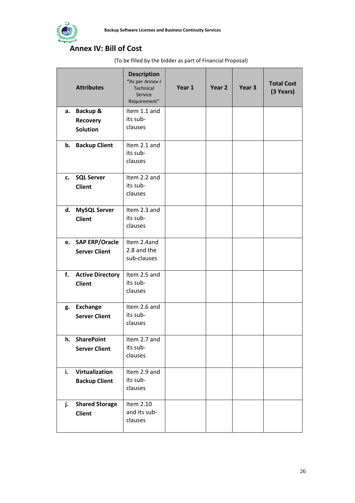

# **Annex IV: Bill of Cost**

(To be filled by the bidder as part of Financial Proposal)

|    | <b>Attributes</b>       | <b>Description</b><br>"As per Annex-I<br><b>Technical</b><br>Service<br>Requirement" | Year 1 | Year 2 | Year <sub>3</sub> | <b>Total Cost</b><br>(3 Years) |
|----|-------------------------|--------------------------------------------------------------------------------------|--------|--------|-------------------|--------------------------------|
| а. | Backup &                | Item 1.1 and                                                                         |        |        |                   |                                |
|    | <b>Recovery</b>         | its sub-                                                                             |        |        |                   |                                |
|    | <b>Solution</b>         | clauses                                                                              |        |        |                   |                                |
|    | b. Backup Client        | Item 2.1 and<br>its sub-<br>clauses                                                  |        |        |                   |                                |
|    | c. SQL Server           | Item 2.2 and                                                                         |        |        |                   |                                |
|    | <b>Client</b>           | its sub-                                                                             |        |        |                   |                                |
|    |                         | clauses                                                                              |        |        |                   |                                |
|    | d. MySQL Server         | Item 2.3 and                                                                         |        |        |                   |                                |
|    | <b>Client</b>           | its sub-                                                                             |        |        |                   |                                |
|    |                         | clauses                                                                              |        |        |                   |                                |
|    | e. SAP ERP/Oracle       | Item 2.4and                                                                          |        |        |                   |                                |
|    | <b>Server Client</b>    | 2.8 and the                                                                          |        |        |                   |                                |
|    |                         | sub-clauses                                                                          |        |        |                   |                                |
| f. | <b>Active Directory</b> | Item 2.5 and                                                                         |        |        |                   |                                |
|    | <b>Client</b>           | its sub-                                                                             |        |        |                   |                                |
|    |                         | clauses                                                                              |        |        |                   |                                |
|    | g. Exchange             | Item 2.6 and                                                                         |        |        |                   |                                |
|    | <b>Server Client</b>    | its sub-                                                                             |        |        |                   |                                |
|    |                         | clauses                                                                              |        |        |                   |                                |
|    | h. SharePoint           | Item 2.7 and                                                                         |        |        |                   |                                |
|    | <b>Server Client</b>    | its sub-                                                                             |        |        |                   |                                |
|    |                         | clauses                                                                              |        |        |                   |                                |
| i. | Virtualization          | Item 2.9 and                                                                         |        |        |                   |                                |
|    | <b>Backup Client</b>    | its sub-                                                                             |        |        |                   |                                |
|    |                         | clauses                                                                              |        |        |                   |                                |
| j. | <b>Shared Storage</b>   | Item 2.10                                                                            |        |        |                   |                                |
|    | <b>Client</b>           | and its sub-                                                                         |        |        |                   |                                |
|    |                         | clauses                                                                              |        |        |                   |                                |
|    |                         |                                                                                      |        |        |                   |                                |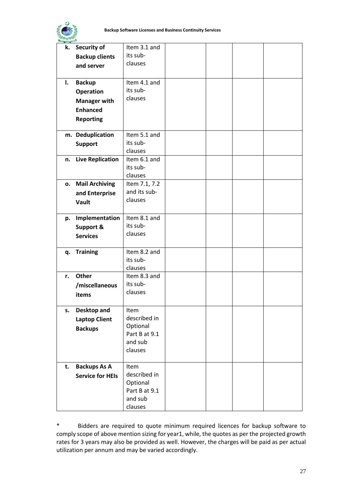

<span id="page-28-0"></span>

|    | k. Security of          | Item 3.1 and         |  |  |
|----|-------------------------|----------------------|--|--|
|    | <b>Backup clients</b>   | its sub-             |  |  |
|    | and server              | clauses              |  |  |
|    |                         |                      |  |  |
| I. | <b>Backup</b>           | Item 4.1 and         |  |  |
|    | <b>Operation</b>        | its sub-             |  |  |
|    | <b>Manager with</b>     | clauses              |  |  |
|    | <b>Enhanced</b>         |                      |  |  |
|    |                         |                      |  |  |
|    | <b>Reporting</b>        |                      |  |  |
|    | m. Deduplication        | Item 5.1 and         |  |  |
|    | <b>Support</b>          | its sub-             |  |  |
|    |                         | clauses              |  |  |
|    | n. Live Replication     | Item 6.1 and         |  |  |
|    |                         | its sub-             |  |  |
|    |                         | clauses              |  |  |
| о. | <b>Mail Archiving</b>   | Item 7.1, 7.2        |  |  |
|    | and Enterprise          | and its sub-         |  |  |
|    | Vault                   | clauses              |  |  |
|    |                         |                      |  |  |
| p. | Implementation          | Item 8.1 and         |  |  |
|    | Support &               | its sub-             |  |  |
|    | <b>Services</b>         | clauses              |  |  |
|    |                         |                      |  |  |
| q. | <b>Training</b>         | Item 8.2 and         |  |  |
|    |                         | its sub-             |  |  |
|    |                         | clauses              |  |  |
|    | r. Other                | Item 8.3 and         |  |  |
|    | /miscellaneous          | its sub-             |  |  |
|    | items                   | clauses              |  |  |
|    |                         |                      |  |  |
| s. | <b>Desktop and</b>      | Item                 |  |  |
|    | <b>Laptop Client</b>    | described in         |  |  |
|    | <b>Backups</b>          | Optional             |  |  |
|    |                         | Part B at 9.1        |  |  |
|    |                         | and sub              |  |  |
|    |                         | clauses              |  |  |
|    |                         |                      |  |  |
| t. | <b>Backups As A</b>     | Item<br>described in |  |  |
|    | <b>Service for HEIs</b> | Optional             |  |  |
|    |                         | Part B at 9.1        |  |  |
|    |                         | and sub              |  |  |
|    |                         | clauses              |  |  |
|    |                         |                      |  |  |

\* Bidders are required to quote minimum required licences for backup software to comply scope of above mention sizing for year1, while, the quotes as per the projected growth rates for 3 years may also be provided as well. However, the charges will be paid as per actual utilization per annum and may be varied accordingly.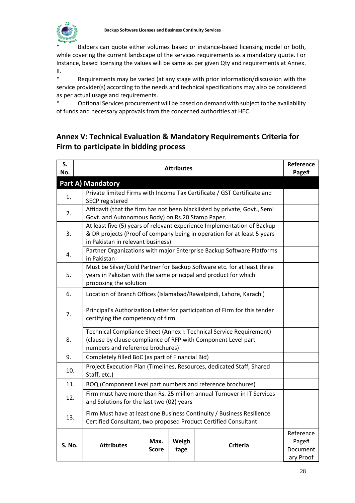

Bidders can quote either volumes based or instance-based licensing model or both, while covering the current landscape of the services requirements as a mandatory quote. For Instance, based licensing the values will be same as per given Qty and requirements at Annex. II.

\* Requirements may be varied (at any stage with prior information/discussion with the service provider(s) according to the needs and technical specifications may also be considered as per actual usage and requirements.

\* Optional Services procurement will be based on demand with subject to the availability of funds and necessary approvals from the concerned authorities at HEC.

## **Annex V: Technical Evaluation & Mandatory Requirements Criteria for Firm to participate in bidding process**

| S.<br>No. | <b>Attributes</b>                                                                                                                                                                       | Reference<br>Page#                          |
|-----------|-----------------------------------------------------------------------------------------------------------------------------------------------------------------------------------------|---------------------------------------------|
|           | <b>Part A) Mandatory</b>                                                                                                                                                                |                                             |
| 1.        | Private limited Firms with Income Tax Certificate / GST Certificate and<br>SECP registered                                                                                              |                                             |
| 2.        | Affidavit (that the firm has not been blacklisted by private, Govt., Semi<br>Govt. and Autonomous Body) on Rs.20 Stamp Paper.                                                           |                                             |
| 3.        | At least five (5) years of relevant experience Implementation of Backup<br>& DR projects (Proof of company being in operation for at least 5 years<br>in Pakistan in relevant business) |                                             |
| 4.        | Partner Organizations with major Enterprise Backup Software Platforms<br>in Pakistan                                                                                                    |                                             |
| 5.        | Must be Silver/Gold Partner for Backup Software etc. for at least three<br>years in Pakistan with the same principal and product for which<br>proposing the solution                    |                                             |
| 6.        | Location of Branch Offices (Islamabad/Rawalpindi, Lahore, Karachi)                                                                                                                      |                                             |
| 7.        | Principal's Authorization Letter for participation of Firm for this tender<br>certifying the competency of firm                                                                         |                                             |
| 8.        | Technical Compliance Sheet (Annex I: Technical Service Requirement)<br>(clause by clause compliance of RFP with Component Level part<br>numbers and reference brochures)                |                                             |
| 9.        | Completely filled BoC (as part of Financial Bid)                                                                                                                                        |                                             |
| 10.       | Project Execution Plan (Timelines, Resources, dedicated Staff, Shared<br>Staff, etc.)                                                                                                   |                                             |
| 11.       | BOQ (Component Level part numbers and reference brochures)                                                                                                                              |                                             |
| 12.       | Firm must have more than Rs. 25 million annual Turnover in IT Services<br>and Solutions for the last two (02) years                                                                     |                                             |
| 13.       | Firm Must have at least one Business Continuity / Business Resilience<br>Certified Consultant, two proposed Product Certified Consultant                                                |                                             |
| S. No.    | Max.<br>Weigh<br><b>Attributes</b><br><b>Criteria</b><br><b>Score</b><br>tage                                                                                                           | Reference<br>Page#<br>Document<br>ary Proof |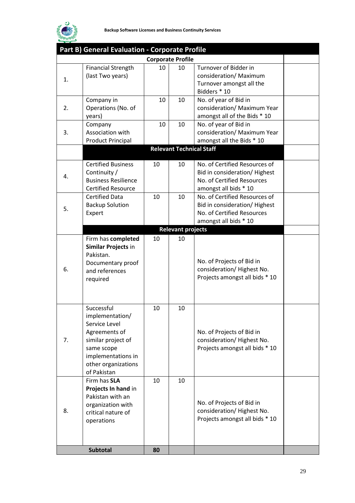

|    | Part B) General Evaluation - Corporate Profile                                                                                                                  |    |                                 |                                                                                                                      |  |
|----|-----------------------------------------------------------------------------------------------------------------------------------------------------------------|----|---------------------------------|----------------------------------------------------------------------------------------------------------------------|--|
|    |                                                                                                                                                                 |    | <b>Corporate Profile</b>        |                                                                                                                      |  |
| 1. | <b>Financial Strength</b><br>(last Two years)                                                                                                                   | 10 | 10                              | Turnover of Bidder in<br>consideration/ Maximum<br>Turnover amongst all the<br>Bidders * 10                          |  |
| 2. | Company in<br>Operations (No. of<br>years)                                                                                                                      | 10 | 10                              | No. of year of Bid in<br>consideration/ Maximum Year<br>amongst all of the Bids * 10                                 |  |
| 3. | Company<br>Association with<br><b>Product Principal</b>                                                                                                         | 10 | 10                              | No. of year of Bid in<br>consideration/ Maximum Year<br>amongst all the Bids * 10                                    |  |
|    |                                                                                                                                                                 |    | <b>Relevant Technical Staff</b> |                                                                                                                      |  |
| 4. | <b>Certified Business</b><br>Continuity /<br><b>Business Resilience</b><br><b>Certified Resource</b>                                                            | 10 | 10                              | No. of Certified Resources of<br>Bid in consideration/Highest<br>No. of Certified Resources<br>amongst all bids * 10 |  |
| 5. | <b>Certified Data</b><br><b>Backup Solution</b><br>Expert                                                                                                       | 10 | 10                              | No. of Certified Resources of<br>Bid in consideration/Highest<br>No. of Certified Resources<br>amongst all bids * 10 |  |
|    |                                                                                                                                                                 |    | <b>Relevant projects</b>        |                                                                                                                      |  |
| 6. | Firm has completed<br>Similar Projects in<br>Pakistan.<br>Documentary proof<br>and references<br>required                                                       | 10 | 10                              | No. of Projects of Bid in<br>consideration/Highest No.<br>Projects amongst all bids * 10                             |  |
| 7. | Successful<br>implementation/<br>Service Level<br>Agreements of<br>similar project of<br>same scope<br>implementations in<br>other organizations<br>of Pakistan | 10 | 10                              | No. of Projects of Bid in<br>consideration/Highest No.<br>Projects amongst all bids * 10                             |  |
| 8. | Firm has SLA<br>Projects In hand in<br>Pakistan with an<br>organization with<br>critical nature of<br>operations                                                | 10 | 10                              | No. of Projects of Bid in<br>consideration/Highest No.<br>Projects amongst all bids * 10                             |  |
|    | <b>Subtotal</b>                                                                                                                                                 | 80 |                                 |                                                                                                                      |  |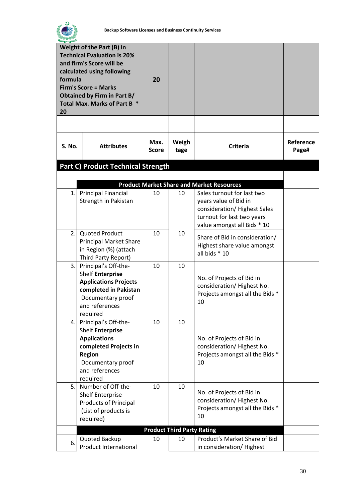

| Weight of the Part (B) in<br><b>Technical Evaluation is 20%</b><br>and firm's Score will be<br>calculated using following<br>formula<br><b>Firm's Score = Marks</b><br><b>Obtained by Firm in Part B/</b><br>Total Max. Marks of Part B *<br>20 |                                                                                                                                                                        | 20            |               |                                                                                                                                                 |                    |
|-------------------------------------------------------------------------------------------------------------------------------------------------------------------------------------------------------------------------------------------------|------------------------------------------------------------------------------------------------------------------------------------------------------------------------|---------------|---------------|-------------------------------------------------------------------------------------------------------------------------------------------------|--------------------|
| <b>S. No.</b>                                                                                                                                                                                                                                   | <b>Attributes</b>                                                                                                                                                      | Max.<br>Score | Weigh<br>tage | <b>Criteria</b>                                                                                                                                 | Reference<br>Page# |
|                                                                                                                                                                                                                                                 | <b>Part C) Product Technical Strength</b>                                                                                                                              |               |               |                                                                                                                                                 |                    |
|                                                                                                                                                                                                                                                 |                                                                                                                                                                        |               |               |                                                                                                                                                 |                    |
|                                                                                                                                                                                                                                                 |                                                                                                                                                                        |               |               | <b>Product Market Share and Market Resources</b>                                                                                                |                    |
| 1.1                                                                                                                                                                                                                                             | <b>Principal Financial</b><br>Strength in Pakistan                                                                                                                     | 10            | 10            | Sales turnout for last two<br>years value of Bid in<br>consideration/Highest Sales<br>turnout for last two years<br>value amongst all Bids * 10 |                    |
| 2.1                                                                                                                                                                                                                                             | <b>Quoted Product</b><br><b>Principal Market Share</b><br>in Region (%) (attach<br>Third Party Report)                                                                 | 10            | 10            | Share of Bid in consideration/<br>Highest share value amongst<br>all bids * 10                                                                  |                    |
| 3.1                                                                                                                                                                                                                                             | Principal's Off-the-<br><b>Shelf Enterprise</b><br><b>Applications Projects</b><br>completed in Pakistan<br>Documentary proof<br>and references<br>required            | 10            | 10            | No. of Projects of Bid in<br>consideration/ Highest No.<br>Projects amongst all the Bids *<br>10                                                |                    |
|                                                                                                                                                                                                                                                 | 4. Principal's Off-the-<br><b>Shelf Enterprise</b><br><b>Applications</b><br>completed Projects in<br><b>Region</b><br>Documentary proof<br>and references<br>required | 10            | 10            | No. of Projects of Bid in<br>consideration/Highest No.<br>Projects amongst all the Bids *<br>10                                                 |                    |
| 5.                                                                                                                                                                                                                                              | Number of Off-the-<br><b>Shelf Enterprise</b><br><b>Products of Principal</b><br>(List of products is<br>required)                                                     | 10            | 10            | No. of Projects of Bid in<br>consideration/ Highest No.<br>Projects amongst all the Bids *<br>10                                                |                    |
|                                                                                                                                                                                                                                                 | <b>Product Third Party Rating</b>                                                                                                                                      |               |               |                                                                                                                                                 |                    |
| 6.                                                                                                                                                                                                                                              | Quoted Backup<br>Product International                                                                                                                                 | 10            | 10            | Product's Market Share of Bid<br>in consideration/ Highest                                                                                      |                    |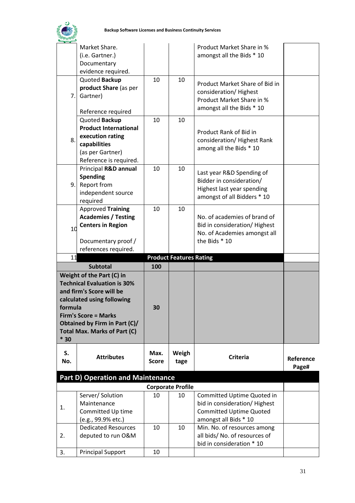

|                      | Market Share.                            |              |                                | Product Market Share in %      |           |
|----------------------|------------------------------------------|--------------|--------------------------------|--------------------------------|-----------|
|                      | (i.e. Gartner.)                          |              |                                | amongst all the Bids * 10      |           |
|                      | Documentary                              |              |                                |                                |           |
|                      | evidence required.                       |              |                                |                                |           |
|                      | Quoted Backup                            | 10           | 10                             | Product Market Share of Bid in |           |
|                      | product Share (as per                    |              |                                | consideration/ Highest         |           |
| 7.                   | Gartner)                                 |              |                                | Product Market Share in %      |           |
|                      |                                          |              |                                | amongst all the Bids * 10      |           |
|                      | Reference required                       |              |                                |                                |           |
|                      | Quoted Backup                            | 10           | 10                             |                                |           |
|                      | <b>Product International</b>             |              |                                | Product Rank of Bid in         |           |
| 8.                   | execution rating                         |              |                                | consideration/ Highest Rank    |           |
|                      | capabilities                             |              |                                | among all the Bids * 10        |           |
|                      | (as per Gartner)                         |              |                                |                                |           |
|                      | Reference is required.                   |              |                                |                                |           |
|                      | Principal R&D annual                     | 10           | 10                             | Last year R&D Spending of      |           |
|                      | <b>Spending</b>                          |              |                                | Bidder in consideration/       |           |
| 9.                   | Report from                              |              |                                | Highest last year spending     |           |
|                      | independent source                       |              |                                | amongst of all Bidders * 10    |           |
|                      | required                                 |              |                                |                                |           |
|                      | <b>Approved Training</b>                 | 10           | 10                             |                                |           |
|                      | <b>Academies / Testing</b>               |              |                                | No. of academies of brand of   |           |
| 10                   | <b>Centers in Region</b>                 |              |                                | Bid in consideration/Highest   |           |
|                      |                                          |              |                                | No. of Academies amongst all   |           |
|                      | Documentary proof /                      |              |                                | the Bids * 10                  |           |
| references required. |                                          |              |                                |                                |           |
|                      |                                          |              |                                |                                |           |
| 11                   |                                          |              | <b>Product Features Rating</b> |                                |           |
|                      | <b>Subtotal</b>                          | 100          |                                |                                |           |
|                      | Weight of the Part (C) in                |              |                                |                                |           |
|                      | <b>Technical Evaluation is 30%</b>       |              |                                |                                |           |
|                      | and firm's Score will be                 |              |                                |                                |           |
|                      | calculated using following               |              |                                |                                |           |
| formula              |                                          | 30           |                                |                                |           |
|                      | <b>Firm's Score = Marks</b>              |              |                                |                                |           |
|                      | Obtained by Firm in Part (C)/            |              |                                |                                |           |
|                      | <b>Total Max. Marks of Part (C)</b>      |              |                                |                                |           |
| $*30$                |                                          |              |                                |                                |           |
| S.                   |                                          | Max.         | Weigh                          |                                |           |
| No.                  | <b>Attributes</b>                        | <b>Score</b> | tage                           | <b>Criteria</b>                | Reference |
|                      |                                          |              |                                |                                | Page#     |
|                      | <b>Part D) Operation and Maintenance</b> |              |                                |                                |           |
|                      |                                          |              | <b>Corporate Profile</b>       |                                |           |
|                      | Server/ Solution                         | 10           | 10                             | Committed Uptime Quoted in     |           |
|                      | Maintenance                              |              |                                | bid in consideration/ Highest  |           |
| 1.                   | Committed Up time                        |              |                                | <b>Committed Uptime Quoted</b> |           |
|                      | (e.g., 99.9% etc.)                       |              |                                | amongst all Bids * 10          |           |
|                      | <b>Dedicated Resources</b>               | 10           | 10                             | Min. No. of resources among    |           |
| 2.                   | deputed to run O&M                       |              |                                | all bids/ No. of resources of  |           |
|                      |                                          |              |                                | bid in consideration * 10      |           |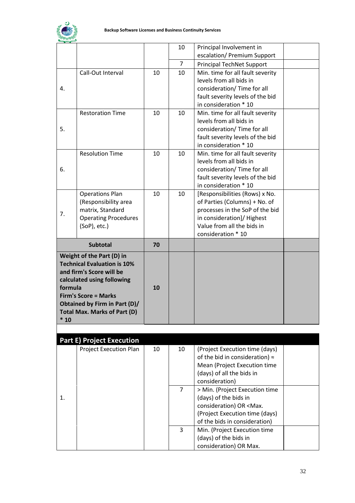

|         |                                                                                             |    | 10             | Principal Involvement in                         |  |
|---------|---------------------------------------------------------------------------------------------|----|----------------|--------------------------------------------------|--|
|         |                                                                                             |    |                | escalation/ Premium Support                      |  |
|         |                                                                                             |    | $\overline{7}$ | <b>Principal TechNet Support</b>                 |  |
|         | Call-Out Interval                                                                           | 10 | 10             | Min. time for all fault severity                 |  |
|         |                                                                                             |    |                | levels from all bids in                          |  |
| 4.      |                                                                                             |    |                | consideration/ Time for all                      |  |
|         |                                                                                             |    |                | fault severity levels of the bid                 |  |
|         |                                                                                             |    |                | in consideration * 10                            |  |
|         | <b>Restoration Time</b>                                                                     | 10 | 10             | Min. time for all fault severity                 |  |
|         |                                                                                             |    |                | levels from all bids in                          |  |
| 5.      |                                                                                             |    |                | consideration/ Time for all                      |  |
|         |                                                                                             |    |                | fault severity levels of the bid                 |  |
|         |                                                                                             |    |                | in consideration * 10                            |  |
|         | <b>Resolution Time</b>                                                                      | 10 | 10             | Min. time for all fault severity                 |  |
|         |                                                                                             |    |                | levels from all bids in                          |  |
| 6.      |                                                                                             |    |                | consideration/ Time for all                      |  |
|         |                                                                                             |    |                | fault severity levels of the bid                 |  |
|         |                                                                                             |    |                | in consideration * 10                            |  |
|         | <b>Operations Plan</b>                                                                      | 10 | 10             | [Responsibilities (Rows) x No.                   |  |
|         | (Responsibility area                                                                        |    |                | of Parties (Columns) + No. of                    |  |
| 7.      | matrix, Standard                                                                            |    |                | processes in the SoP of the bid                  |  |
|         | <b>Operating Procedures</b>                                                                 |    |                | in consideration]/ Highest                       |  |
|         | $(SOP)$ , etc.)                                                                             |    |                | Value from all the bids in                       |  |
|         |                                                                                             |    |                | consideration * 10                               |  |
|         | <b>Subtotal</b>                                                                             | 70 |                |                                                  |  |
|         | Weight of the Part (D) in<br><b>Technical Evaluation is 10%</b><br>and firm's Score will be |    |                |                                                  |  |
|         | calculated using following                                                                  |    |                |                                                  |  |
| formula |                                                                                             | 10 |                |                                                  |  |
|         | <b>Firm's Score = Marks</b>                                                                 |    |                |                                                  |  |
|         | Obtained by Firm in Part (D)/                                                               |    |                |                                                  |  |
|         | Total Max. Marks of Part (D)                                                                |    |                |                                                  |  |
| $*10$   |                                                                                             |    |                |                                                  |  |
|         |                                                                                             |    |                |                                                  |  |
|         | <b>Part E) Project Execution</b>                                                            |    |                |                                                  |  |
|         | <b>Project Execution Plan</b>                                                               | 10 | 10             | (Project Execution time (days)                   |  |
|         |                                                                                             |    |                | of the bid in consideration) $\approx$           |  |
|         |                                                                                             |    |                | Mean (Project Execution time                     |  |
|         |                                                                                             |    |                | (days) of all the bids in                        |  |
|         |                                                                                             |    |                | consideration)                                   |  |
|         |                                                                                             |    | $\overline{7}$ | > Min. (Project Execution time                   |  |
| 1.      |                                                                                             |    |                | (days) of the bids in                            |  |
|         |                                                                                             |    |                | consideration) OR <max.< td=""><td></td></max.<> |  |
|         |                                                                                             |    |                | (Project Execution time (days)                   |  |
|         |                                                                                             |    |                | of the bids in consideration)                    |  |
|         |                                                                                             |    | 3              | Min. (Project Execution time                     |  |
|         |                                                                                             |    |                | (days) of the bids in<br>consideration) OR Max.  |  |
|         |                                                                                             |    |                |                                                  |  |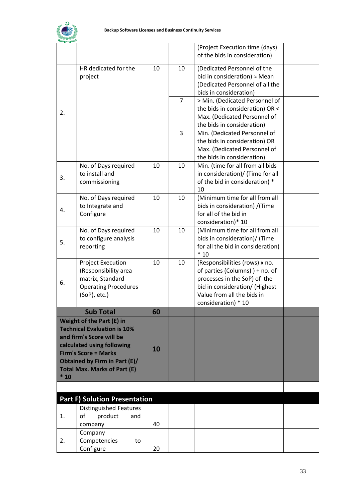

|       |                                                                                                                                                                                                                                         |    |                | (Project Execution time (days)<br>of the bids in consideration)                                                                                                                         |  |
|-------|-----------------------------------------------------------------------------------------------------------------------------------------------------------------------------------------------------------------------------------------|----|----------------|-----------------------------------------------------------------------------------------------------------------------------------------------------------------------------------------|--|
|       | HR dedicated for the<br>project                                                                                                                                                                                                         | 10 | 10             | (Dedicated Personnel of the<br>bid in consideration) $\approx$ Mean<br>(Dedicated Personnel of all the<br>bids in consideration)                                                        |  |
| 2.    |                                                                                                                                                                                                                                         |    | $\overline{7}$ | > Min. (Dedicated Personnel of<br>the bids in consideration) OR <<br>Max. (Dedicated Personnel of<br>the bids in consideration)                                                         |  |
|       |                                                                                                                                                                                                                                         |    | 3              | Min. (Dedicated Personnel of<br>the bids in consideration) OR<br>Max. (Dedicated Personnel of<br>the bids in consideration)                                                             |  |
| 3.    | No. of Days required<br>to install and<br>commissioning                                                                                                                                                                                 | 10 | 10             | Min. (time for all from all bids<br>in consideration)/ (Time for all<br>of the bid in consideration) *<br>10                                                                            |  |
| 4.    | No. of Days required<br>to Integrate and<br>Configure                                                                                                                                                                                   | 10 | 10             | (Minimum time for all from all<br>bids in consideration) /(Time<br>for all of the bid in<br>consideration)* 10                                                                          |  |
| 5.    | No. of Days required<br>to configure analysis<br>reporting                                                                                                                                                                              | 10 | 10             | (Minimum time for all from all<br>bids in consideration)/ (Time<br>for all the bid in consideration)<br>$*10$                                                                           |  |
| 6.    | <b>Project Execution</b><br>(Responsibility area<br>matrix, Standard<br><b>Operating Procedures</b><br>(SoP), etc.)                                                                                                                     | 10 | 10             | (Responsibilities (rows) x no.<br>of parties (Columns)) + no. of<br>processes in the SoP) of the<br>bid in consideration/ (Highest<br>Value from all the bids in<br>consideration) * 10 |  |
|       | <b>Sub Total</b>                                                                                                                                                                                                                        | 60 |                |                                                                                                                                                                                         |  |
| $*10$ | Weight of the Part (E) in<br><b>Technical Evaluation is 10%</b><br>and firm's Score will be<br>calculated using following<br><b>Firm's Score = Marks</b><br><b>Obtained by Firm in Part (E)/</b><br><b>Total Max. Marks of Part (E)</b> | 10 |                |                                                                                                                                                                                         |  |
|       |                                                                                                                                                                                                                                         |    |                |                                                                                                                                                                                         |  |
|       | <b>Part F) Solution Presentation</b>                                                                                                                                                                                                    |    |                |                                                                                                                                                                                         |  |
| 1.    | Distinguished Features<br>product<br>οf<br>and<br>company                                                                                                                                                                               | 40 |                |                                                                                                                                                                                         |  |
| 2.    | Company<br>Competencies<br>to<br>Configure                                                                                                                                                                                              | 20 |                |                                                                                                                                                                                         |  |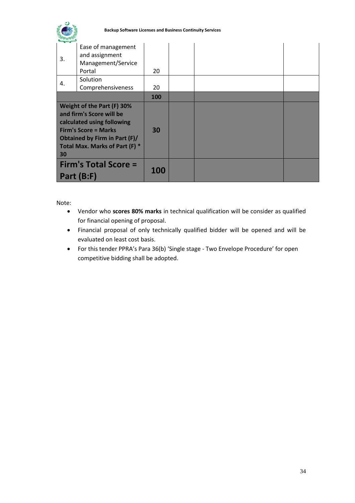

<span id="page-35-0"></span>

| 3.                                                                                                                                                                                           | Ease of management<br>and assignment<br>Management/Service<br>Portal | 20         |  |  |
|----------------------------------------------------------------------------------------------------------------------------------------------------------------------------------------------|----------------------------------------------------------------------|------------|--|--|
| 4.                                                                                                                                                                                           | Solution<br>Comprehensiveness                                        | 20         |  |  |
|                                                                                                                                                                                              |                                                                      | 100        |  |  |
| Weight of the Part (F) 30%<br>and firm's Score will be<br>calculated using following<br><b>Firm's Score = Marks</b><br>Obtained by Firm in Part (F)/<br>Total Max. Marks of Part (F) *<br>30 |                                                                      | 30         |  |  |
| <b>Firm's Total Score =</b><br>Part (B:F)                                                                                                                                                    |                                                                      | <b>100</b> |  |  |

#### Note:

- Vendor who **scores 80% marks** in technical qualification will be consider as qualified for financial opening of proposal.
- Financial proposal of only technically qualified bidder will be opened and will be evaluated on least cost basis.
- For this tender PPRA's Para 36(b) 'Single stage Two Envelope Procedure' for open competitive bidding shall be adopted.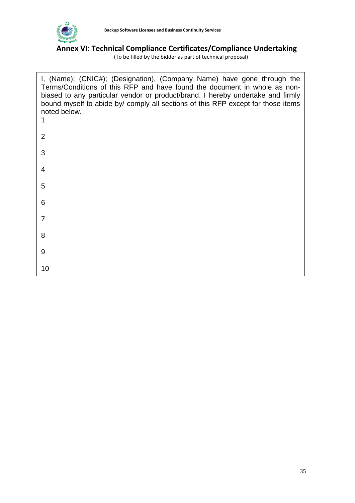

# <span id="page-36-0"></span>**Annex VI**: **Technical Compliance Certificates/Compliance Undertaking**

(To be filled by the bidder as part of technical proposal)

| I, (Name); (CNIC#); (Designation), (Company Name) have gone through the<br>Terms/Conditions of this RFP and have found the document in whole as non-<br>biased to any particular vendor or product/brand. I hereby undertake and firmly<br>bound myself to abide by/ comply all sections of this RFP except for those items<br>noted below. |
|---------------------------------------------------------------------------------------------------------------------------------------------------------------------------------------------------------------------------------------------------------------------------------------------------------------------------------------------|
| 2                                                                                                                                                                                                                                                                                                                                           |
| 3                                                                                                                                                                                                                                                                                                                                           |
| 4                                                                                                                                                                                                                                                                                                                                           |
| 5                                                                                                                                                                                                                                                                                                                                           |
| 6                                                                                                                                                                                                                                                                                                                                           |
| $\overline{7}$                                                                                                                                                                                                                                                                                                                              |
| 8                                                                                                                                                                                                                                                                                                                                           |
| 9                                                                                                                                                                                                                                                                                                                                           |
| 10                                                                                                                                                                                                                                                                                                                                          |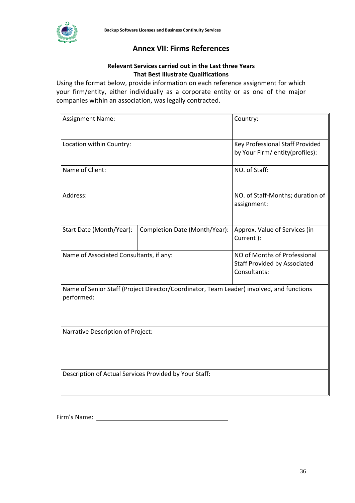<span id="page-37-0"></span>

## **Annex VII**: **Firms References**

#### **Relevant Services carried out in the Last three Years That Best Illustrate Qualifications**

Using the format below, provide information on each reference assignment for which your firm/entity, either individually as a corporate entity or as one of the major companies within an association, was legally contracted.

| <b>Assignment Name:</b>                                                                                | Country:                                                                            |                                             |  |  |  |
|--------------------------------------------------------------------------------------------------------|-------------------------------------------------------------------------------------|---------------------------------------------|--|--|--|
| Location within Country:                                                                               | Key Professional Staff Provided<br>by Your Firm/ entity(profiles):                  |                                             |  |  |  |
| Name of Client:                                                                                        | NO. of Staff:                                                                       |                                             |  |  |  |
| Address:                                                                                               | NO. of Staff-Months; duration of<br>assignment:                                     |                                             |  |  |  |
| Start Date (Month/Year):                                                                               | Completion Date (Month/Year):                                                       | Approx. Value of Services (in<br>Current ): |  |  |  |
| Name of Associated Consultants, if any:                                                                | NO of Months of Professional<br><b>Staff Provided by Associated</b><br>Consultants: |                                             |  |  |  |
| Name of Senior Staff (Project Director/Coordinator, Team Leader) involved, and functions<br>performed: |                                                                                     |                                             |  |  |  |
| Narrative Description of Project:                                                                      |                                                                                     |                                             |  |  |  |
| Description of Actual Services Provided by Your Staff:                                                 |                                                                                     |                                             |  |  |  |

Firm's Name: